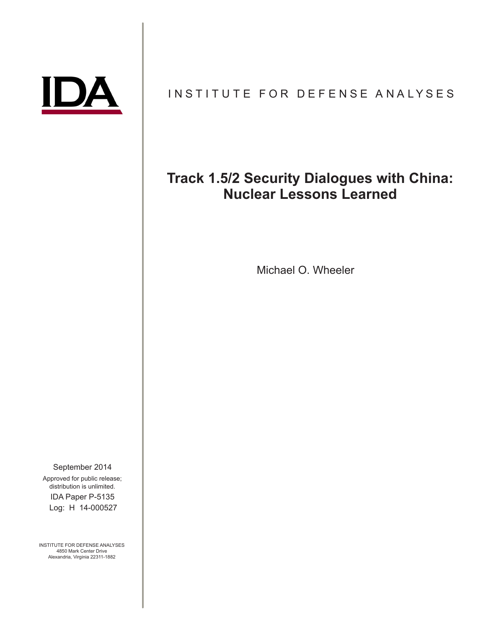# INSTITUTE FOR DEFENSE ANALYSES

# **Track 1.5/2 Security Dialogues with China: Nuclear Lessons Learned**

Michael O. Wheeler

IDA Paper P-5135 September 2014 Approved for public release; distribution is unlimited. Log: H 14-000527

INSTITUTE FOR DEFENSE ANALYSES 4850 Mark Center Drive Alexandria, Virginia 22311-1882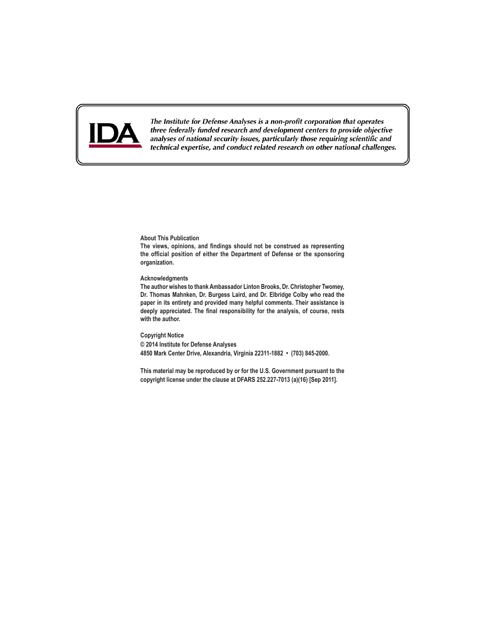

The Institute for Defense Analyses is a non-profit corporation that operates three federally funded research and development centers to provide objective analyses of national security issues, particularly those requiring scientific and technical expertise, and conduct related research on other national challenges.

**About This Publication**

**The views, opinions, and findings should not be construed as representing the official position of either the Department of Defense or the sponsoring organization.**

#### **Acknowledgments**

**The author wishes to thank Ambassador Linton Brooks, Dr. Christopher Twomey, Dr. Thomas Mahnken, Dr. Burgess Laird, and Dr. Elbridge Colby who read the paper in its entirety and provided many helpful comments. Their assistance is deeply appreciated. The final responsibility for the analysis, of course, rests with the author.**

**Copyright Notice © 2014 Institute for Defense Analyses 4850 Mark Center Drive, Alexandria, Virginia 22311-1882 • (703) 845-2000.**

**This material may be reproduced by or for the U.S. Government pursuant to the copyright license under the clause at DFARS 252.227-7013 (a)(16) [Sep 2011].**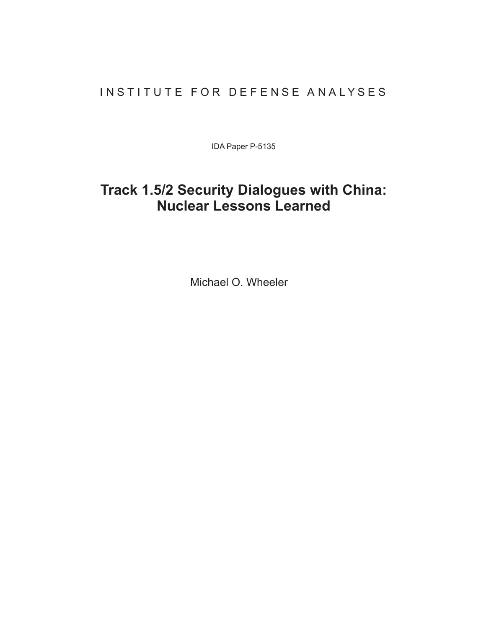### INSTITUTE FOR DEFENSE ANALYSES

IDA Paper P-5135

# **Track 1.5/2 Security Dialogues with China: Nuclear Lessons Learned**

Michael O. Wheeler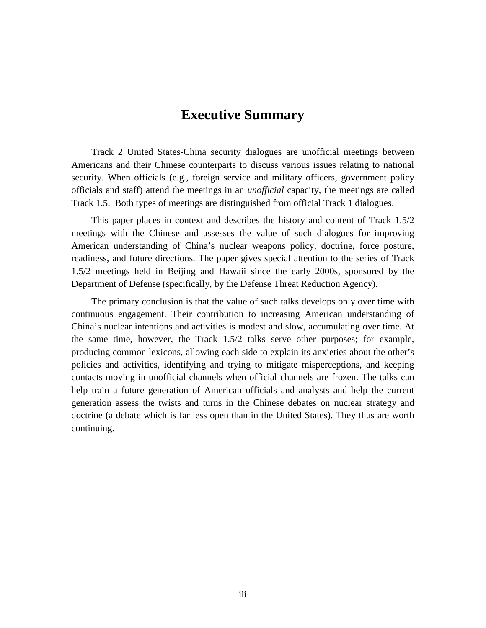## **Executive Summary**

Track 2 United States-China security dialogues are unofficial meetings between Americans and their Chinese counterparts to discuss various issues relating to national security. When officials (e.g., foreign service and military officers, government policy officials and staff) attend the meetings in an *unofficial* capacity, the meetings are called Track 1.5. Both types of meetings are distinguished from official Track 1 dialogues.

This paper places in context and describes the history and content of Track 1.5/2 meetings with the Chinese and assesses the value of such dialogues for improving American understanding of China's nuclear weapons policy, doctrine, force posture, readiness, and future directions. The paper gives special attention to the series of Track 1.5/2 meetings held in Beijing and Hawaii since the early 2000s, sponsored by the Department of Defense (specifically, by the Defense Threat Reduction Agency).

The primary conclusion is that the value of such talks develops only over time with continuous engagement. Their contribution to increasing American understanding of China's nuclear intentions and activities is modest and slow, accumulating over time. At the same time, however, the Track 1.5/2 talks serve other purposes; for example, producing common lexicons, allowing each side to explain its anxieties about the other's policies and activities, identifying and trying to mitigate misperceptions, and keeping contacts moving in unofficial channels when official channels are frozen. The talks can help train a future generation of American officials and analysts and help the current generation assess the twists and turns in the Chinese debates on nuclear strategy and doctrine (a debate which is far less open than in the United States). They thus are worth continuing.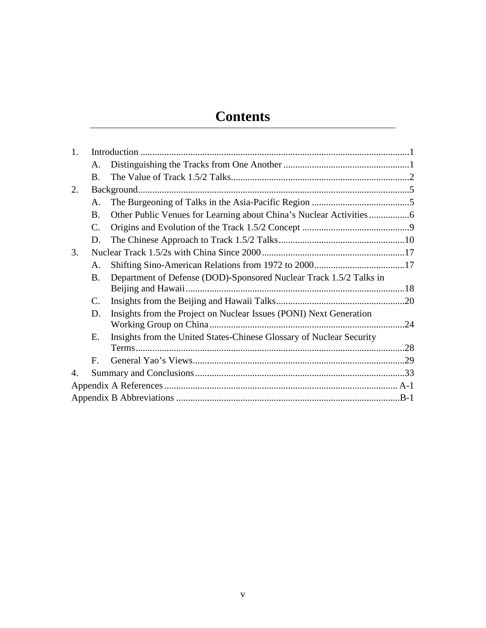# **Contents**

| 1.             |                 |                                                                      |     |  |  |
|----------------|-----------------|----------------------------------------------------------------------|-----|--|--|
|                | A.              |                                                                      |     |  |  |
|                | <b>B.</b>       |                                                                      |     |  |  |
| 2.             |                 |                                                                      |     |  |  |
|                | A.              |                                                                      |     |  |  |
|                | B.              |                                                                      |     |  |  |
|                | $\mathcal{C}$ . |                                                                      |     |  |  |
|                | D.              |                                                                      |     |  |  |
| 3.             |                 |                                                                      |     |  |  |
|                | A.              |                                                                      |     |  |  |
|                | B.              | Department of Defense (DOD)-Sponsored Nuclear Track 1.5/2 Talks in   |     |  |  |
|                | $\mathcal{C}$ . |                                                                      |     |  |  |
|                | D.              | Insights from the Project on Nuclear Issues (PONI) Next Generation   | .24 |  |  |
|                | Е.              | Insights from the United States-Chinese Glossary of Nuclear Security |     |  |  |
|                | $F_{\cdot}$     |                                                                      |     |  |  |
| $\mathbf{4}$ . |                 |                                                                      |     |  |  |
|                |                 |                                                                      |     |  |  |
|                |                 |                                                                      |     |  |  |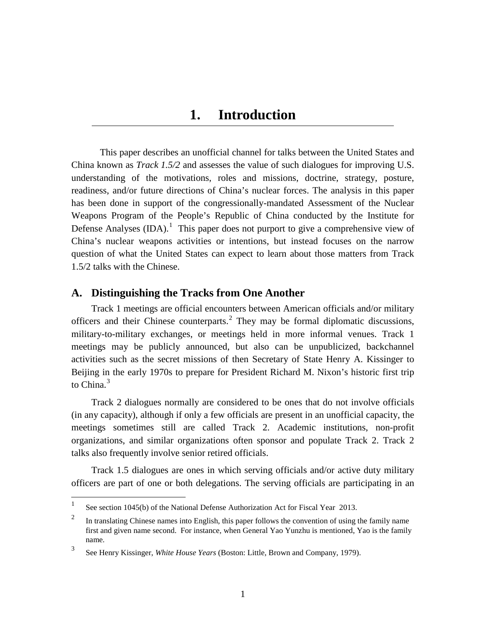### **1. Introduction**

<span id="page-8-0"></span>This paper describes an unofficial channel for talks between the United States and China known as *Track 1.5/2* and assesses the value of such dialogues for improving U.S. understanding of the motivations, roles and missions, doctrine, strategy, posture, readiness, and/or future directions of China's nuclear forces. The analysis in this paper has been done in support of the congressionally-mandated Assessment of the Nuclear Weapons Program of the People's Republic of China conducted by the Institute for Defense Analyses  $(IDA).<sup>1</sup>$  $(IDA).<sup>1</sup>$  $(IDA).<sup>1</sup>$  This paper does not purport to give a comprehensive view of China's nuclear weapons activities or intentions, but instead focuses on the narrow question of what the United States can expect to learn about those matters from Track 1.5/2 talks with the Chinese.

#### <span id="page-8-1"></span>**A. Distinguishing the Tracks from One Another**

Track 1 meetings are official encounters between American officials and/or military officers and their Chinese counterparts.[2](#page-8-3) They may be formal diplomatic discussions, military-to-military exchanges, or meetings held in more informal venues. Track 1 meetings may be publicly announced, but also can be unpublicized, backchannel activities such as the secret missions of then Secretary of State Henry A. Kissinger to Beijing in the early 1970s to prepare for President Richard M. Nixon's historic first trip to China.<sup>[3](#page-8-4)</sup>

Track 2 dialogues normally are considered to be ones that do not involve officials (in any capacity), although if only a few officials are present in an unofficial capacity, the meetings sometimes still are called Track 2. Academic institutions, non-profit organizations, and similar organizations often sponsor and populate Track 2. Track 2 talks also frequently involve senior retired officials.

Track 1.5 dialogues are ones in which serving officials and/or active duty military officers are part of one or both delegations. The serving officials are participating in an

<span id="page-8-2"></span><sup>&</sup>lt;sup>1</sup> See section 1045(b) of the National Defense Authorization Act for Fiscal Year 2013.

<span id="page-8-3"></span><sup>&</sup>lt;sup>2</sup> In translating Chinese names into English, this paper follows the convention of using the family name first and given name second. For instance, when General Yao Yunzhu is mentioned, Yao is the family name.

<span id="page-8-4"></span><sup>3</sup> See Henry Kissinger, *White House Years* (Boston: Little, Brown and Company, 1979).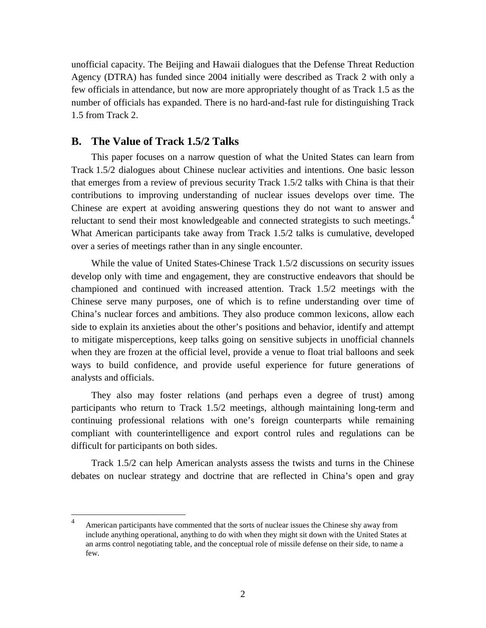unofficial capacity. The Beijing and Hawaii dialogues that the Defense Threat Reduction Agency (DTRA) has funded since 2004 initially were described as Track 2 with only a few officials in attendance, but now are more appropriately thought of as Track 1.5 as the number of officials has expanded. There is no hard-and-fast rule for distinguishing Track 1.5 from Track 2.

#### <span id="page-9-0"></span>**B. The Value of Track 1.5/2 Talks**

This paper focuses on a narrow question of what the United States can learn from Track 1.5/2 dialogues about Chinese nuclear activities and intentions. One basic lesson that emerges from a review of previous security Track 1.5/2 talks with China is that their contributions to improving understanding of nuclear issues develops over time. The Chinese are expert at avoiding answering questions they do not want to answer and reluctant to send their most knowledgeable and connected strategists to such meetings.<sup>[4](#page-9-1)</sup> What American participants take away from Track 1.5/2 talks is cumulative, developed over a series of meetings rather than in any single encounter.

While the value of United States-Chinese Track 1.5/2 discussions on security issues develop only with time and engagement, they are constructive endeavors that should be championed and continued with increased attention. Track 1.5/2 meetings with the Chinese serve many purposes, one of which is to refine understanding over time of China's nuclear forces and ambitions. They also produce common lexicons, allow each side to explain its anxieties about the other's positions and behavior, identify and attempt to mitigate misperceptions, keep talks going on sensitive subjects in unofficial channels when they are frozen at the official level, provide a venue to float trial balloons and seek ways to build confidence, and provide useful experience for future generations of analysts and officials.

They also may foster relations (and perhaps even a degree of trust) among participants who return to Track 1.5/2 meetings, although maintaining long-term and continuing professional relations with one's foreign counterparts while remaining compliant with counterintelligence and export control rules and regulations can be difficult for participants on both sides.

Track 1.5/2 can help American analysts assess the twists and turns in the Chinese debates on nuclear strategy and doctrine that are reflected in China's open and gray

<span id="page-9-1"></span><sup>&</sup>lt;sup>4</sup> American participants have commented that the sorts of nuclear issues the Chinese shy away from include anything operational, anything to do with when they might sit down with the United States at an arms control negotiating table, and the conceptual role of missile defense on their side, to name a few.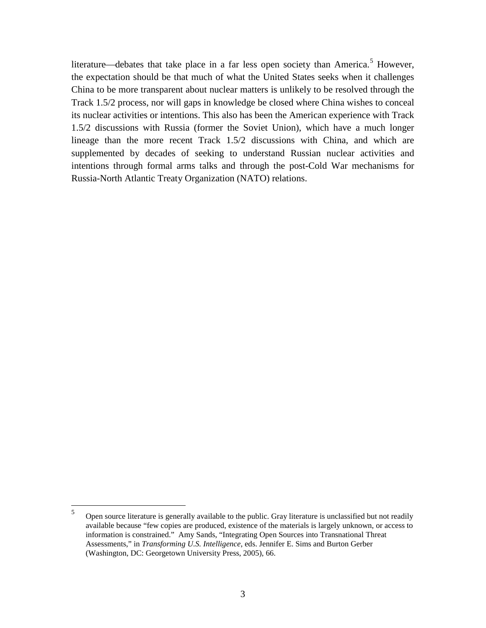literature—debates that take place in a far less open society than America.<sup>[5](#page-10-0)</sup> However, the expectation should be that much of what the United States seeks when it challenges China to be more transparent about nuclear matters is unlikely to be resolved through the Track 1.5/2 process, nor will gaps in knowledge be closed where China wishes to conceal its nuclear activities or intentions. This also has been the American experience with Track 1.5/2 discussions with Russia (former the Soviet Union), which have a much longer lineage than the more recent Track 1.5/2 discussions with China, and which are supplemented by decades of seeking to understand Russian nuclear activities and intentions through formal arms talks and through the post-Cold War mechanisms for Russia-North Atlantic Treaty Organization (NATO) relations.

<span id="page-10-0"></span> <sup>5</sup> Open source literature is generally available to the public. Gray literature is unclassified but not readily available because "few copies are produced, existence of the materials is largely unknown, or access to information is constrained." Amy Sands, "Integrating Open Sources into Transnational Threat Assessments," in *Transforming U.S. Intelligence*, eds. Jennifer E. Sims and Burton Gerber (Washington, DC: Georgetown University Press, 2005), 66.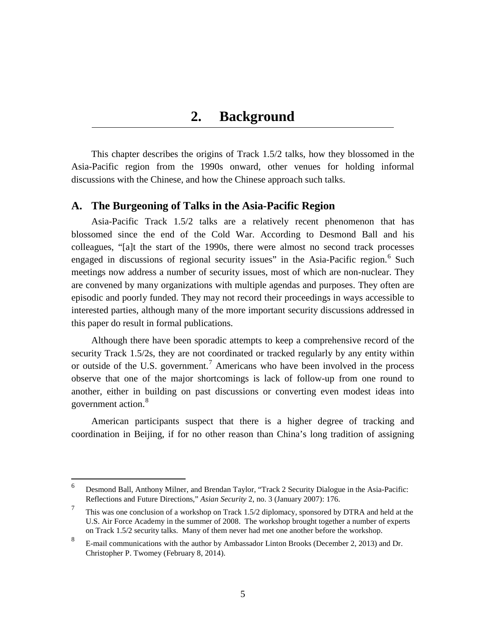### **2. Background**

<span id="page-12-0"></span>This chapter describes the origins of Track 1.5/2 talks, how they blossomed in the Asia-Pacific region from the 1990s onward, other venues for holding informal discussions with the Chinese, and how the Chinese approach such talks.

#### <span id="page-12-1"></span>**A. The Burgeoning of Talks in the Asia-Pacific Region**

Asia-Pacific Track 1.5/2 talks are a relatively recent phenomenon that has blossomed since the end of the Cold War. According to Desmond Ball and his colleagues, "[a]t the start of the 1990s, there were almost no second track processes engaged in discussions of regional security issues" in the Asia-Pacific region.<sup>[6](#page-12-2)</sup> Such meetings now address a number of security issues, most of which are non-nuclear. They are convened by many organizations with multiple agendas and purposes. They often are episodic and poorly funded. They may not record their proceedings in ways accessible to interested parties, although many of the more important security discussions addressed in this paper do result in formal publications.

Although there have been sporadic attempts to keep a comprehensive record of the security Track 1.5/2s, they are not coordinated or tracked regularly by any entity within or outside of the U.S. government.<sup>[7](#page-12-3)</sup> Americans who have been involved in the process observe that one of the major shortcomings is lack of follow-up from one round to another, either in building on past discussions or converting even modest ideas into government action.<sup>[8](#page-12-4)</sup>

American participants suspect that there is a higher degree of tracking and coordination in Beijing, if for no other reason than China's long tradition of assigning

<span id="page-12-2"></span> <sup>6</sup> Desmond Ball, Anthony Milner, and Brendan Taylor, "Track 2 Security Dialogue in the Asia-Pacific: Reflections and Future Directions," *Asian Security* 2, no. 3 (January 2007): 176.

<span id="page-12-3"></span><sup>&</sup>lt;sup>7</sup> This was one conclusion of a workshop on Track 1.5/2 diplomacy, sponsored by DTRA and held at the U.S. Air Force Academy in the summer of 2008. The workshop brought together a number of experts on Track 1.5/2 security talks. Many of them never had met one another before the workshop.

<span id="page-12-4"></span><sup>8</sup> E-mail communications with the author by Ambassador Linton Brooks (December 2, 2013) and Dr. Christopher P. Twomey (February 8, 2014).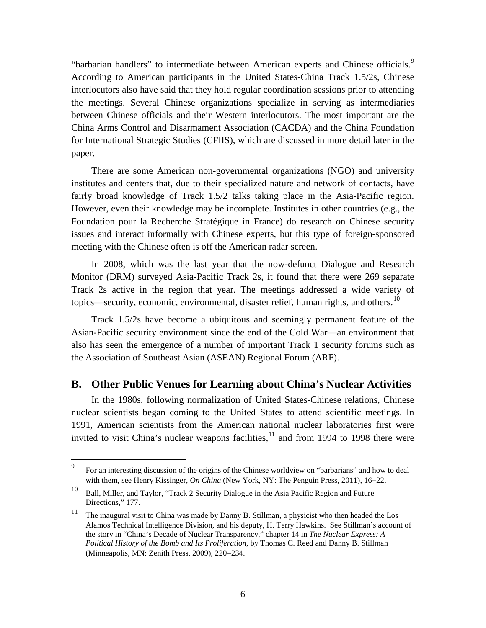"barbarian handlers" to intermediate between American experts and Chinese officials.<sup>[9](#page-13-1)</sup> According to American participants in the United States-China Track 1.5/2s, Chinese interlocutors also have said that they hold regular coordination sessions prior to attending the meetings. Several Chinese organizations specialize in serving as intermediaries between Chinese officials and their Western interlocutors. The most important are the China Arms Control and Disarmament Association (CACDA) and the China Foundation for International Strategic Studies (CFIIS), which are discussed in more detail later in the paper.

There are some American non-governmental organizations (NGO) and university institutes and centers that, due to their specialized nature and network of contacts, have fairly broad knowledge of Track 1.5/2 talks taking place in the Asia-Pacific region. However, even their knowledge may be incomplete. Institutes in other countries (e.g., the Foundation pour la Recherche Stratégique in France) do research on Chinese security issues and interact informally with Chinese experts, but this type of foreign-sponsored meeting with the Chinese often is off the American radar screen.

In 2008, which was the last year that the now-defunct Dialogue and Research Monitor (DRM) surveyed Asia-Pacific Track 2s, it found that there were 269 separate Track 2s active in the region that year. The meetings addressed a wide variety of topics—security, economic, environmental, disaster relief, human rights, and others.<sup>[10](#page-13-2)</sup>

Track 1.5/2s have become a ubiquitous and seemingly permanent feature of the Asian-Pacific security environment since the end of the Cold War—an environment that also has seen the emergence of a number of important Track 1 security forums such as the Association of Southeast Asian (ASEAN) Regional Forum (ARF).

#### <span id="page-13-0"></span>**B. Other Public Venues for Learning about China's Nuclear Activities**

In the 1980s, following normalization of United States-Chinese relations, Chinese nuclear scientists began coming to the United States to attend scientific meetings. In 1991, American scientists from the American national nuclear laboratories first were invited to visit China's nuclear weapons facilities, $11$  and from 1994 to 1998 there were

<span id="page-13-1"></span><sup>&</sup>lt;sup>9</sup> For an interesting discussion of the origins of the Chinese worldview on "barbarians" and how to deal with them, see Henry Kissinger, *On China* (New York, NY: The Penguin Press, 2011), 16−22.

<span id="page-13-2"></span><sup>10</sup> Ball, Miller, and Taylor, "Track 2 Security Dialogue in the Asia Pacific Region and Future Directions," 177.

<span id="page-13-3"></span><sup>&</sup>lt;sup>11</sup> The inaugural visit to China was made by Danny B. Stillman, a physicist who then headed the Los Alamos Technical Intelligence Division, and his deputy, H. Terry Hawkins. See Stillman's account of the story in "China's Decade of Nuclear Transparency," chapter 14 in *The Nuclear Express: A Political History of the Bomb and Its Proliferation*, by Thomas C. Reed and Danny B. Stillman (Minneapolis, MN: Zenith Press, 2009), 220−234.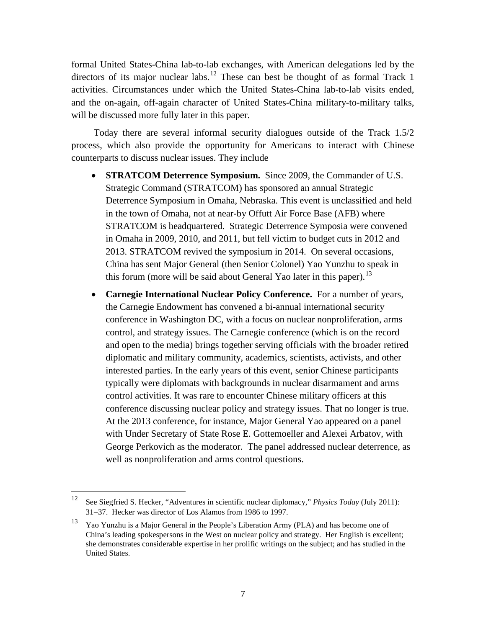formal United States-China lab-to-lab exchanges, with American delegations led by the directors of its major nuclear labs.<sup>[12](#page-14-0)</sup> These can best be thought of as formal Track 1 activities. Circumstances under which the United States-China lab-to-lab visits ended, and the on-again, off-again character of United States-China military-to-military talks, will be discussed more fully later in this paper.

Today there are several informal security dialogues outside of the Track 1.5/2 process, which also provide the opportunity for Americans to interact with Chinese counterparts to discuss nuclear issues. They include

- **STRATCOM Deterrence Symposium.** Since 2009, the Commander of U.S. Strategic Command (STRATCOM) has sponsored an annual Strategic Deterrence Symposium in Omaha, Nebraska. This event is unclassified and held in the town of Omaha, not at near-by Offutt Air Force Base (AFB) where STRATCOM is headquartered. Strategic Deterrence Symposia were convened in Omaha in 2009, 2010, and 2011, but fell victim to budget cuts in 2012 and 2013. STRATCOM revived the symposium in 2014. On several occasions, China has sent Major General (then Senior Colonel) Yao Yunzhu to speak in this forum (more will be said about General Yao later in this paper).<sup>[13](#page-14-1)</sup>
- **Carnegie International Nuclear Policy Conference.** For a number of years, the Carnegie Endowment has convened a bi-annual international security conference in Washington DC, with a focus on nuclear nonproliferation, arms control, and strategy issues. The Carnegie conference (which is on the record and open to the media) brings together serving officials with the broader retired diplomatic and military community, academics, scientists, activists, and other interested parties. In the early years of this event, senior Chinese participants typically were diplomats with backgrounds in nuclear disarmament and arms control activities. It was rare to encounter Chinese military officers at this conference discussing nuclear policy and strategy issues. That no longer is true. At the 2013 conference, for instance, Major General Yao appeared on a panel with Under Secretary of State Rose E. Gottemoeller and Alexei Arbatov, with George Perkovich as the moderator. The panel addressed nuclear deterrence, as well as nonproliferation and arms control questions.

<span id="page-14-0"></span> <sup>12</sup> See Siegfried S. Hecker, "Adventures in scientific nuclear diplomacy," *Physics Today* (July 2011): 31−37. Hecker was director of Los Alamos from 1986 to 1997.

<span id="page-14-1"></span><sup>13</sup> Yao Yunzhu is a Major General in the People's Liberation Army (PLA) and has become one of China's leading spokespersons in the West on nuclear policy and strategy. Her English is excellent; she demonstrates considerable expertise in her prolific writings on the subject; and has studied in the United States.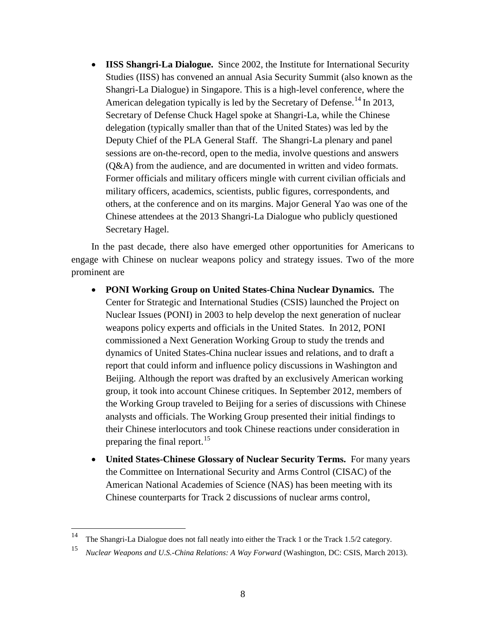• **IISS Shangri-La Dialogue.** Since 2002, the Institute for International Security Studies (IISS) has convened an annual Asia Security Summit (also known as the Shangri-La Dialogue) in Singapore. This is a high-level conference, where the American delegation typically is led by the Secretary of Defense.<sup>[14](#page-15-0)</sup> In 2013, Secretary of Defense Chuck Hagel spoke at Shangri-La, while the Chinese delegation (typically smaller than that of the United States) was led by the Deputy Chief of the PLA General Staff. The Shangri-La plenary and panel sessions are on-the-record, open to the media, involve questions and answers (Q&A) from the audience, and are documented in written and video formats. Former officials and military officers mingle with current civilian officials and military officers, academics, scientists, public figures, correspondents, and others, at the conference and on its margins. Major General Yao was one of the Chinese attendees at the 2013 Shangri-La Dialogue who publicly questioned Secretary Hagel.

In the past decade, there also have emerged other opportunities for Americans to engage with Chinese on nuclear weapons policy and strategy issues. Two of the more prominent are

- **PONI Working Group on United States-China Nuclear Dynamics.** The Center for Strategic and International Studies (CSIS) launched the Project on Nuclear Issues (PONI) in 2003 to help develop the next generation of nuclear weapons policy experts and officials in the United States. In 2012, PONI commissioned a Next Generation Working Group to study the trends and dynamics of United States-China nuclear issues and relations, and to draft a report that could inform and influence policy discussions in Washington and Beijing. Although the report was drafted by an exclusively American working group, it took into account Chinese critiques. In September 2012, members of the Working Group traveled to Beijing for a series of discussions with Chinese analysts and officials. The Working Group presented their initial findings to their Chinese interlocutors and took Chinese reactions under consideration in preparing the final report.<sup>[15](#page-15-1)</sup>
- **United States-Chinese Glossary of Nuclear Security Terms.** For many years the Committee on International Security and Arms Control (CISAC) of the American National Academies of Science (NAS) has been meeting with its Chinese counterparts for Track 2 discussions of nuclear arms control,

<span id="page-15-0"></span> <sup>14</sup> The Shangri-La Dialogue does not fall neatly into either the Track 1 or the Track 1.5/2 category.

<span id="page-15-1"></span><sup>15</sup> *Nuclear Weapons and U.S.-China Relations: A Way Forward* (Washington, DC: CSIS, March 2013).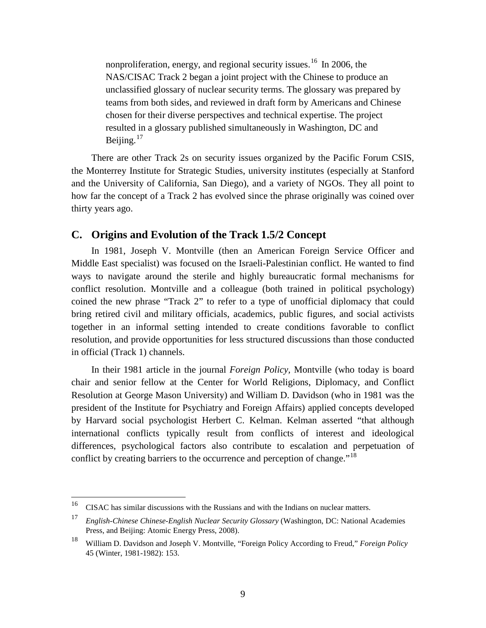nonproliferation, energy, and regional security issues.<sup>[16](#page-16-1)</sup> In 2006, the NAS/CISAC Track 2 began a joint project with the Chinese to produce an unclassified glossary of nuclear security terms. The glossary was prepared by teams from both sides, and reviewed in draft form by Americans and Chinese chosen for their diverse perspectives and technical expertise. The project resulted in a glossary published simultaneously in Washington, DC and Beijing. $17$ 

There are other Track 2s on security issues organized by the Pacific Forum CSIS, the Monterrey Institute for Strategic Studies, university institutes (especially at Stanford and the University of California, San Diego), and a variety of NGOs. They all point to how far the concept of a Track 2 has evolved since the phrase originally was coined over thirty years ago.

#### <span id="page-16-0"></span>**C. Origins and Evolution of the Track 1.5/2 Concept**

In 1981, Joseph V. Montville (then an American Foreign Service Officer and Middle East specialist) was focused on the Israeli-Palestinian conflict. He wanted to find ways to navigate around the sterile and highly bureaucratic formal mechanisms for conflict resolution. Montville and a colleague (both trained in political psychology) coined the new phrase "Track 2" to refer to a type of unofficial diplomacy that could bring retired civil and military officials, academics, public figures, and social activists together in an informal setting intended to create conditions favorable to conflict resolution, and provide opportunities for less structured discussions than those conducted in official (Track 1) channels.

In their 1981 article in the journal *Foreign Policy,* Montville (who today is board chair and senior fellow at the Center for World Religions, Diplomacy, and Conflict Resolution at George Mason University) and William D. Davidson (who in 1981 was the president of the Institute for Psychiatry and Foreign Affairs) applied concepts developed by Harvard social psychologist Herbert C. Kelman. Kelman asserted "that although international conflicts typically result from conflicts of interest and ideological differences, psychological factors also contribute to escalation and perpetuation of conflict by creating barriers to the occurrence and perception of change.<sup> $18$ </sup>

<span id="page-16-1"></span><sup>&</sup>lt;sup>16</sup> CISAC has similar discussions with the Russians and with the Indians on nuclear matters.

<span id="page-16-2"></span><sup>17</sup> *English-Chinese Chinese-English Nuclear Security Glossary* (Washington, DC: National Academies Press, and Beijing: Atomic Energy Press, 2008).

<span id="page-16-3"></span><sup>18</sup> William D. Davidson and Joseph V. Montville, "Foreign Policy According to Freud," *Foreign Policy*  45 (Winter, 1981-1982): 153.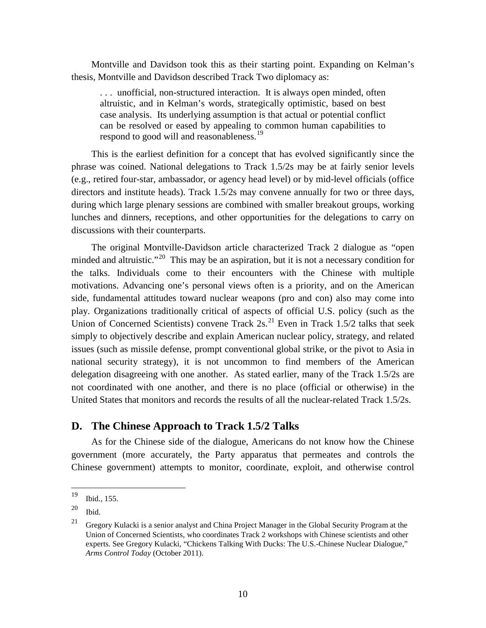Montville and Davidson took this as their starting point. Expanding on Kelman's thesis, Montville and Davidson described Track Two diplomacy as:

. . . unofficial, non-structured interaction. It is always open minded, often altruistic, and in Kelman's words, strategically optimistic, based on best case analysis. Its underlying assumption is that actual or potential conflict can be resolved or eased by appealing to common human capabilities to respond to good will and reasonableness.<sup>[19](#page-17-1)</sup>

This is the earliest definition for a concept that has evolved significantly since the phrase was coined. National delegations to Track 1.5/2s may be at fairly senior levels (e.g., retired four-star, ambassador, or agency head level) or by mid-level officials (office directors and institute heads). Track 1.5/2s may convene annually for two or three days, during which large plenary sessions are combined with smaller breakout groups, working lunches and dinners, receptions, and other opportunities for the delegations to carry on discussions with their counterparts.

The original Montville-Davidson article characterized Track 2 dialogue as "open minded and altruistic."<sup>[20](#page-17-2)</sup> This may be an aspiration, but it is not a necessary condition for the talks. Individuals come to their encounters with the Chinese with multiple motivations. Advancing one's personal views often is a priority, and on the American side, fundamental attitudes toward nuclear weapons (pro and con) also may come into play. Organizations traditionally critical of aspects of official U.S. policy (such as the Union of Concerned Scientists) convene Track  $2s$ .<sup>[21](#page-17-3)</sup> Even in Track 1.5/2 talks that seek simply to objectively describe and explain American nuclear policy, strategy, and related issues (such as missile defense, prompt conventional global strike, or the pivot to Asia in national security strategy), it is not uncommon to find members of the American delegation disagreeing with one another. As stated earlier, many of the Track 1.5/2s are not coordinated with one another, and there is no place (official or otherwise) in the United States that monitors and records the results of all the nuclear-related Track 1.5/2s.

#### <span id="page-17-0"></span>**D. The Chinese Approach to Track 1.5/2 Talks**

As for the Chinese side of the dialogue, Americans do not know how the Chinese government (more accurately, the Party apparatus that permeates and controls the Chinese government) attempts to monitor, coordinate, exploit, and otherwise control

<span id="page-17-1"></span> <sup>19</sup> Ibid., 155.

<span id="page-17-2"></span> $^{20}$  Ibid.

<span id="page-17-3"></span> $21$  Gregory Kulacki is a senior analyst and China Project Manager in the Global Security Program at the Union of Concerned Scientists, who coordinates Track 2 workshops with Chinese scientists and other experts. See Gregory Kulacki, "Chickens Talking With Ducks: The U.S.-Chinese Nuclear Dialogue," *Arms Control Today* (October 2011).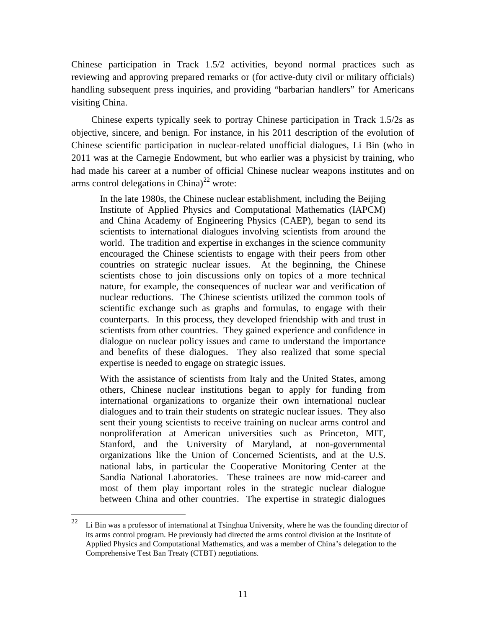Chinese participation in Track 1.5/2 activities, beyond normal practices such as reviewing and approving prepared remarks or (for active-duty civil or military officials) handling subsequent press inquiries, and providing "barbarian handlers" for Americans visiting China.

Chinese experts typically seek to portray Chinese participation in Track 1.5/2s as objective, sincere, and benign. For instance, in his 2011 description of the evolution of Chinese scientific participation in nuclear-related unofficial dialogues, Li Bin (who in 2011 was at the Carnegie Endowment, but who earlier was a physicist by training, who had made his career at a number of official Chinese nuclear weapons institutes and on arms control delegations in China)<sup>[22](#page-18-0)</sup> wrote:

In the late 1980s, the Chinese nuclear establishment, including the Beijing Institute of Applied Physics and Computational Mathematics (IAPCM) and China Academy of Engineering Physics (CAEP), began to send its scientists to international dialogues involving scientists from around the world. The tradition and expertise in exchanges in the science community encouraged the Chinese scientists to engage with their peers from other countries on strategic nuclear issues. At the beginning, the Chinese scientists chose to join discussions only on topics of a more technical nature, for example, the consequences of nuclear war and verification of nuclear reductions. The Chinese scientists utilized the common tools of scientific exchange such as graphs and formulas, to engage with their counterparts. In this process, they developed friendship with and trust in scientists from other countries. They gained experience and confidence in dialogue on nuclear policy issues and came to understand the importance and benefits of these dialogues. They also realized that some special expertise is needed to engage on strategic issues.

With the assistance of scientists from Italy and the United States, among others, Chinese nuclear institutions began to apply for funding from international organizations to organize their own international nuclear dialogues and to train their students on strategic nuclear issues. They also sent their young scientists to receive training on nuclear arms control and nonproliferation at American universities such as Princeton, MIT, Stanford, and the University of Maryland, at non-governmental organizations like the Union of Concerned Scientists, and at the U.S. national labs, in particular the Cooperative Monitoring Center at the Sandia National Laboratories. These trainees are now mid-career and most of them play important roles in the strategic nuclear dialogue between China and other countries. The expertise in strategic dialogues

<span id="page-18-0"></span> $22$  Li Bin was a professor of international at Tsinghua University, where he was the founding director of its arms control program. He previously had directed the arms control division at the Institute of Applied Physics and Computational Mathematics, and was a member of China's delegation to the Comprehensive Test Ban Treaty (CTBT) negotiations.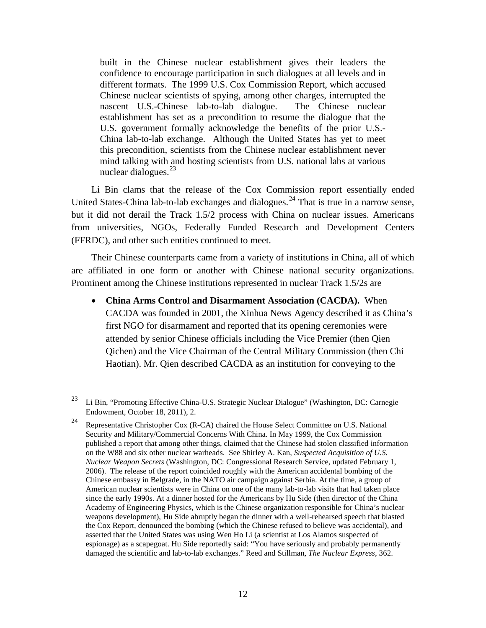built in the Chinese nuclear establishment gives their leaders the confidence to encourage participation in such dialogues at all levels and in different formats. The 1999 U.S. Cox Commission Report, which accused Chinese nuclear scientists of spying, among other charges, interrupted the nascent U.S.-Chinese lab-to-lab dialogue. The Chinese nuclear establishment has set as a precondition to resume the dialogue that the U.S. government formally acknowledge the benefits of the prior U.S.- China lab-to-lab exchange. Although the United States has yet to meet this precondition, scientists from the Chinese nuclear establishment never mind talking with and hosting scientists from U.S. national labs at various nuclear dialogues. $^{23}$  $^{23}$  $^{23}$ 

Li Bin clams that the release of the Cox Commission report essentially ended United States-China lab-to-lab exchanges and dialogues.<sup>[24](#page-19-1)</sup> That is true in a narrow sense, but it did not derail the Track 1.5/2 process with China on nuclear issues. Americans from universities, NGOs, Federally Funded Research and Development Centers (FFRDC), and other such entities continued to meet.

Their Chinese counterparts came from a variety of institutions in China, all of which are affiliated in one form or another with Chinese national security organizations. Prominent among the Chinese institutions represented in nuclear Track 1.5/2s are

• **China Arms Control and Disarmament Association (CACDA).** When CACDA was founded in 2001, the Xinhua News Agency described it as China's first NGO for disarmament and reported that its opening ceremonies were attended by senior Chinese officials including the Vice Premier (then Qien Qichen) and the Vice Chairman of the Central Military Commission (then Chi Haotian). Mr. Qien described CACDA as an institution for conveying to the

<span id="page-19-0"></span> <sup>23</sup> Li Bin, "Promoting Effective China-U.S. Strategic Nuclear Dialogue" (Washington, DC: Carnegie Endowment, October 18, 2011), 2.

<span id="page-19-1"></span><sup>&</sup>lt;sup>24</sup> Representative Christopher Cox (R-CA) chaired the House Select Committee on U.S. National Security and Military/Commercial Concerns With China. In May 1999, the Cox Commission published a report that among other things, claimed that the Chinese had stolen classified information on the W88 and six other nuclear warheads. See Shirley A. Kan, *Suspected Acquisition of U.S. Nuclear Weapon Secrets* (Washington, DC: Congressional Research Service, updated February 1, 2006). The release of the report coincided roughly with the American accidental bombing of the Chinese embassy in Belgrade, in the NATO air campaign against Serbia. At the time, a group of American nuclear scientists were in China on one of the many lab-to-lab visits that had taken place since the early 1990s. At a dinner hosted for the Americans by Hu Side (then director of the China Academy of Engineering Physics, which is the Chinese organization responsible for China's nuclear weapons development), Hu Side abruptly began the dinner with a well-rehearsed speech that blasted the Cox Report, denounced the bombing (which the Chinese refused to believe was accidental), and asserted that the United States was using Wen Ho Li (a scientist at Los Alamos suspected of espionage) as a scapegoat. Hu Side reportedly said: "You have seriously and probably permanently damaged the scientific and lab-to-lab exchanges." Reed and Stillman, *The Nuclear Express*, 362.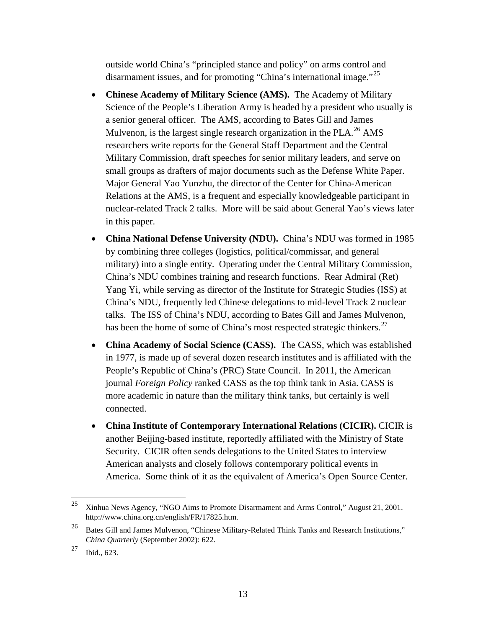outside world China's "principled stance and policy" on arms control and disarmament issues, and for promoting "China's international image."<sup>[25](#page-20-0)</sup>

- **Chinese Academy of Military Science (AMS).** The Academy of Military Science of the People's Liberation Army is headed by a president who usually is a senior general officer. The AMS, according to Bates Gill and James Mulvenon, is the largest single research organization in the PLA.<sup>[26](#page-20-1)</sup> AMS researchers write reports for the General Staff Department and the Central Military Commission, draft speeches for senior military leaders, and serve on small groups as drafters of major documents such as the Defense White Paper. Major General Yao Yunzhu, the director of the Center for China-American Relations at the AMS, is a frequent and especially knowledgeable participant in nuclear-related Track 2 talks. More will be said about General Yao's views later in this paper.
- **China National Defense University (NDU).** China's NDU was formed in 1985 by combining three colleges (logistics, political/commissar, and general military) into a single entity. Operating under the Central Military Commission, China's NDU combines training and research functions. Rear Admiral (Ret) Yang Yi, while serving as director of the Institute for Strategic Studies (ISS) at China's NDU, frequently led Chinese delegations to mid-level Track 2 nuclear talks. The ISS of China's NDU, according to Bates Gill and James Mulvenon, has been the home of some of China's most respected strategic thinkers.<sup>[27](#page-20-2)</sup>
- **China Academy of Social Science (CASS).** The CASS, which was established in 1977, is made up of several dozen research institutes and is affiliated with the People's Republic of China's (PRC) State Council. In 2011, the American journal *Foreign Policy* ranked CASS as the top think tank in Asia. CASS is more academic in nature than the military think tanks, but certainly is well connected.
- **China Institute of Contemporary International Relations (CICIR).** CICIR is another Beijing-based institute, reportedly affiliated with the Ministry of State Security. CICIR often sends delegations to the United States to interview American analysts and closely follows contemporary political events in America. Some think of it as the equivalent of America's Open Source Center.

<span id="page-20-0"></span><sup>&</sup>lt;sup>25</sup> Xinhua News Agency, "NGO Aims to Promote Disarmament and Arms Control," August 21, 2001. [http://www.china.org.cn/english/FR/17825.htm.](http://www.china.org.cn/english/FR/17825.htm)

<span id="page-20-1"></span><sup>&</sup>lt;sup>26</sup> Bates Gill and James Mulvenon, "Chinese Military-Related Think Tanks and Research Institutions," *China Quarterly* (September 2002): 622.

<span id="page-20-2"></span> $27$  Ibid., 623.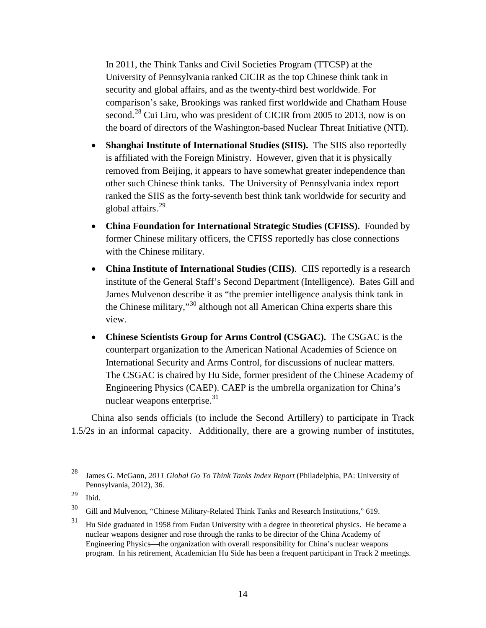In 2011, the Think Tanks and Civil Societies Program (TTCSP) at the University of Pennsylvania ranked CICIR as the top Chinese think tank in security and global affairs, and as the twenty-third best worldwide. For comparison's sake, Brookings was ranked first worldwide and Chatham House second.<sup>[28](#page-21-0)</sup> Cui Liru, who was president of CICIR from 2005 to 2013, now is on the board of directors of the Washington-based Nuclear Threat Initiative (NTI).

- **Shanghai Institute of International Studies (SIIS).** The SIIS also reportedly is affiliated with the Foreign Ministry. However, given that it is physically removed from Beijing, it appears to have somewhat greater independence than other such Chinese think tanks. The University of Pennsylvania index report ranked the SIIS as the forty-seventh best think tank worldwide for security and global affairs. [29](#page-21-1)
- **China Foundation for International Strategic Studies (CFISS).** Founded by former Chinese military officers, the CFISS reportedly has close connections with the Chinese military.
- **China Institute of International Studies (CIIS)**. CIIS reportedly is a research institute of the General Staff's Second Department (Intelligence). Bates Gill and James Mulvenon describe it as "the premier intelligence analysis think tank in the Chinese military,"[30](#page-21-2) although not all American China experts share this view.
- **Chinese Scientists Group for Arms Control (CSGAC).** The CSGAC is the counterpart organization to the American National Academies of Science on International Security and Arms Control, for discussions of nuclear matters. The CSGAC is chaired by Hu Side, former president of the Chinese Academy of Engineering Physics (CAEP). CAEP is the umbrella organization for China's nuclear weapons enterprise. $31$

China also sends officials (to include the Second Artillery) to participate in Track 1.5/2s in an informal capacity. Additionally, there are a growing number of institutes,

<span id="page-21-0"></span> <sup>28</sup> James G. McGann, *2011 Global Go To Think Tanks Index Report* (Philadelphia, PA: University of Pennsylvania, 2012), 36.

<span id="page-21-1"></span> $29$  Ibid.

<span id="page-21-2"></span><sup>30</sup> Gill and Mulvenon, "Chinese Military-Related Think Tanks and Research Institutions," 619.

<span id="page-21-3"></span> $31$  Hu Side graduated in 1958 from Fudan University with a degree in theoretical physics. He became a nuclear weapons designer and rose through the ranks to be director of the China Academy of Engineering Physics—the organization with overall responsibility for China's nuclear weapons program. In his retirement, Academician Hu Side has been a frequent participant in Track 2 meetings.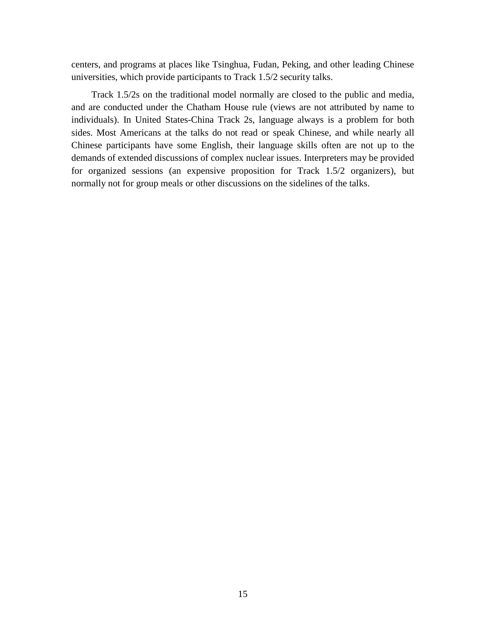centers, and programs at places like Tsinghua, Fudan, Peking, and other leading Chinese universities, which provide participants to Track 1.5/2 security talks.

Track 1.5/2s on the traditional model normally are closed to the public and media, and are conducted under the Chatham House rule (views are not attributed by name to individuals). In United States-China Track 2s, language always is a problem for both sides. Most Americans at the talks do not read or speak Chinese, and while nearly all Chinese participants have some English, their language skills often are not up to the demands of extended discussions of complex nuclear issues. Interpreters may be provided for organized sessions (an expensive proposition for Track 1.5/2 organizers), but normally not for group meals or other discussions on the sidelines of the talks.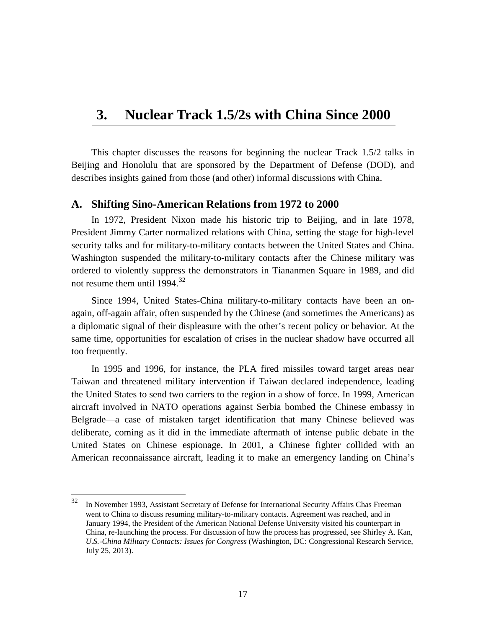# <span id="page-24-0"></span>**3. Nuclear Track 1.5/2s with China Since 2000**

This chapter discusses the reasons for beginning the nuclear Track 1.5/2 talks in Beijing and Honolulu that are sponsored by the Department of Defense (DOD), and describes insights gained from those (and other) informal discussions with China.

#### <span id="page-24-1"></span>**A. Shifting Sino-American Relations from 1972 to 2000**

In 1972, President Nixon made his historic trip to Beijing, and in late 1978, President Jimmy Carter normalized relations with China, setting the stage for high-level security talks and for military-to-military contacts between the United States and China. Washington suspended the military-to-military contacts after the Chinese military was ordered to violently suppress the demonstrators in Tiananmen Square in 1989, and did not resume them until  $1994.<sup>32</sup>$  $1994.<sup>32</sup>$  $1994.<sup>32</sup>$ 

Since 1994, United States-China military-to-military contacts have been an onagain, off-again affair, often suspended by the Chinese (and sometimes the Americans) as a diplomatic signal of their displeasure with the other's recent policy or behavior. At the same time, opportunities for escalation of crises in the nuclear shadow have occurred all too frequently.

In 1995 and 1996, for instance, the PLA fired missiles toward target areas near Taiwan and threatened military intervention if Taiwan declared independence, leading the United States to send two carriers to the region in a show of force. In 1999, American aircraft involved in NATO operations against Serbia bombed the Chinese embassy in Belgrade—a case of mistaken target identification that many Chinese believed was deliberate, coming as it did in the immediate aftermath of intense public debate in the United States on Chinese espionage. In 2001, a Chinese fighter collided with an American reconnaissance aircraft, leading it to make an emergency landing on China's

<span id="page-24-2"></span><sup>&</sup>lt;sup>32</sup> In November 1993, Assistant Secretary of Defense for International Security Affairs Chas Freeman went to China to discuss resuming military-to-military contacts. Agreement was reached, and in January 1994, the President of the American National Defense University visited his counterpart in China, re-launching the process. For discussion of how the process has progressed, see Shirley A. Kan, *U.S.-China Military Contacts: Issues for Congress* (Washington, DC: Congressional Research Service, July 25, 2013).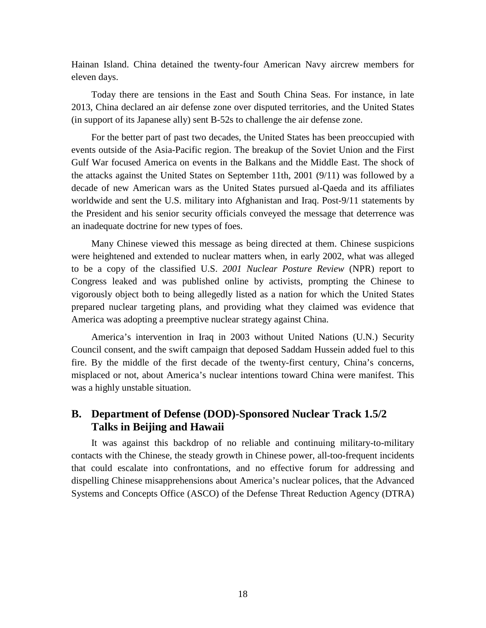Hainan Island. China detained the twenty-four American Navy aircrew members for eleven days.

Today there are tensions in the East and South China Seas. For instance, in late 2013, China declared an air defense zone over disputed territories, and the United States (in support of its Japanese ally) sent B-52s to challenge the air defense zone.

For the better part of past two decades, the United States has been preoccupied with events outside of the Asia-Pacific region. The breakup of the Soviet Union and the First Gulf War focused America on events in the Balkans and the Middle East. The shock of the attacks against the United States on September 11th, 2001 (9/11) was followed by a decade of new American wars as the United States pursued al-Qaeda and its affiliates worldwide and sent the U.S. military into Afghanistan and Iraq. Post-9/11 statements by the President and his senior security officials conveyed the message that deterrence was an inadequate doctrine for new types of foes.

Many Chinese viewed this message as being directed at them. Chinese suspicions were heightened and extended to nuclear matters when, in early 2002, what was alleged to be a copy of the classified U.S. *2001 Nuclear Posture Review* (NPR) report to Congress leaked and was published online by activists, prompting the Chinese to vigorously object both to being allegedly listed as a nation for which the United States prepared nuclear targeting plans, and providing what they claimed was evidence that America was adopting a preemptive nuclear strategy against China.

America's intervention in Iraq in 2003 without United Nations (U.N.) Security Council consent, and the swift campaign that deposed Saddam Hussein added fuel to this fire. By the middle of the first decade of the twenty-first century, China's concerns, misplaced or not, about America's nuclear intentions toward China were manifest. This was a highly unstable situation.

### <span id="page-25-0"></span>**B. Department of Defense (DOD)-Sponsored Nuclear Track 1.5/2 Talks in Beijing and Hawaii**

It was against this backdrop of no reliable and continuing military-to-military contacts with the Chinese, the steady growth in Chinese power, all-too-frequent incidents that could escalate into confrontations, and no effective forum for addressing and dispelling Chinese misapprehensions about America's nuclear polices, that the Advanced Systems and Concepts Office (ASCO) of the Defense Threat Reduction Agency (DTRA)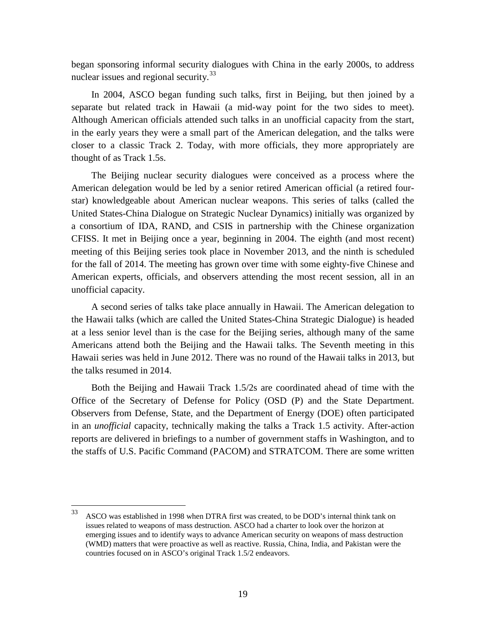began sponsoring informal security dialogues with China in the early 2000s, to address nuclear issues and regional security.<sup>[33](#page-26-0)</sup>

In 2004, ASCO began funding such talks, first in Beijing, but then joined by a separate but related track in Hawaii (a mid-way point for the two sides to meet). Although American officials attended such talks in an unofficial capacity from the start, in the early years they were a small part of the American delegation, and the talks were closer to a classic Track 2. Today, with more officials, they more appropriately are thought of as Track 1.5s.

The Beijing nuclear security dialogues were conceived as a process where the American delegation would be led by a senior retired American official (a retired fourstar) knowledgeable about American nuclear weapons. This series of talks (called the United States-China Dialogue on Strategic Nuclear Dynamics) initially was organized by a consortium of IDA, RAND, and CSIS in partnership with the Chinese organization CFISS. It met in Beijing once a year, beginning in 2004. The eighth (and most recent) meeting of this Beijing series took place in November 2013, and the ninth is scheduled for the fall of 2014. The meeting has grown over time with some eighty-five Chinese and American experts, officials, and observers attending the most recent session, all in an unofficial capacity.

A second series of talks take place annually in Hawaii. The American delegation to the Hawaii talks (which are called the United States-China Strategic Dialogue) is headed at a less senior level than is the case for the Beijing series, although many of the same Americans attend both the Beijing and the Hawaii talks. The Seventh meeting in this Hawaii series was held in June 2012. There was no round of the Hawaii talks in 2013, but the talks resumed in 2014.

Both the Beijing and Hawaii Track 1.5/2s are coordinated ahead of time with the Office of the Secretary of Defense for Policy (OSD (P) and the State Department. Observers from Defense, State, and the Department of Energy (DOE) often participated in an *unofficial* capacity, technically making the talks a Track 1.5 activity. After-action reports are delivered in briefings to a number of government staffs in Washington, and to the staffs of U.S. Pacific Command (PACOM) and STRATCOM. There are some written

<span id="page-26-0"></span> $33$  ASCO was established in 1998 when DTRA first was created, to be DOD's internal think tank on issues related to weapons of mass destruction. ASCO had a charter to look over the horizon at emerging issues and to identify ways to advance American security on weapons of mass destruction (WMD) matters that were proactive as well as reactive. Russia, China, India, and Pakistan were the countries focused on in ASCO's original Track 1.5/2 endeavors.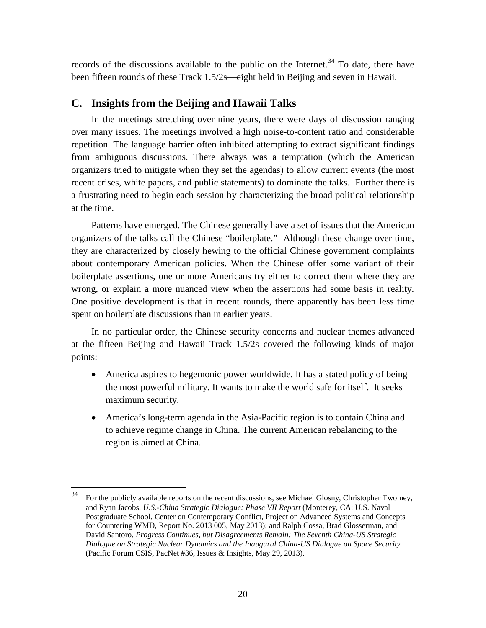records of the discussions available to the public on the Internet.<sup>[34](#page-27-1)</sup> To date, there have been fifteen rounds of these Track 1.5/2s—eight held in Beijing and seven in Hawaii.

#### <span id="page-27-0"></span>**C. Insights from the Beijing and Hawaii Talks**

In the meetings stretching over nine years, there were days of discussion ranging over many issues. The meetings involved a high noise-to-content ratio and considerable repetition. The language barrier often inhibited attempting to extract significant findings from ambiguous discussions. There always was a temptation (which the American organizers tried to mitigate when they set the agendas) to allow current events (the most recent crises, white papers, and public statements) to dominate the talks. Further there is a frustrating need to begin each session by characterizing the broad political relationship at the time.

Patterns have emerged. The Chinese generally have a set of issues that the American organizers of the talks call the Chinese "boilerplate." Although these change over time, they are characterized by closely hewing to the official Chinese government complaints about contemporary American policies. When the Chinese offer some variant of their boilerplate assertions, one or more Americans try either to correct them where they are wrong, or explain a more nuanced view when the assertions had some basis in reality. One positive development is that in recent rounds, there apparently has been less time spent on boilerplate discussions than in earlier years.

In no particular order, the Chinese security concerns and nuclear themes advanced at the fifteen Beijing and Hawaii Track 1.5/2s covered the following kinds of major points:

- America aspires to hegemonic power worldwide. It has a stated policy of being the most powerful military. It wants to make the world safe for itself. It seeks maximum security.
- America's long-term agenda in the Asia-Pacific region is to contain China and to achieve regime change in China. The current American rebalancing to the region is aimed at China.

<span id="page-27-1"></span> <sup>34</sup> For the publicly available reports on the recent discussions, see Michael Glosny, Christopher Twomey, and Ryan Jacobs, *U.S.-China Strategic Dialogue: Phase VII Report* (Monterey, CA: U.S. Naval Postgraduate School, Center on Contemporary Conflict, Project on Advanced Systems and Concepts for Countering WMD, Report No. 2013 005, May 2013); and Ralph Cossa, Brad Glosserman, and David Santoro, *Progress Continues, but Disagreements Remain: The Seventh China-US Strategic Dialogue on Strategic Nuclear Dynamics and the Inaugural China-US Dialogue on Space Security*  (Pacific Forum CSIS, PacNet #36, Issues & Insights, May 29, 2013).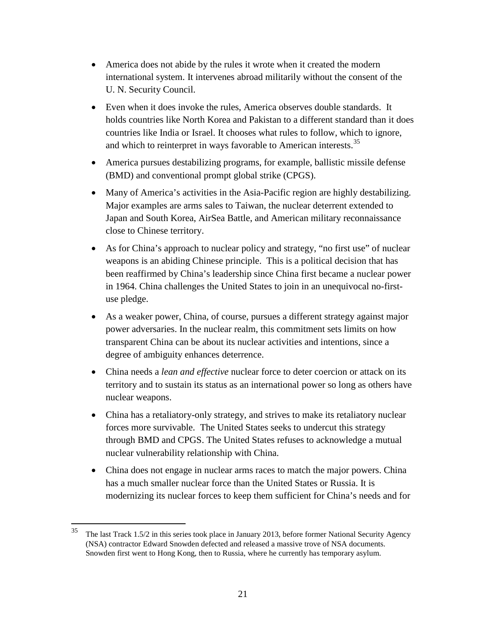- America does not abide by the rules it wrote when it created the modern international system. It intervenes abroad militarily without the consent of the U. N. Security Council.
- Even when it does invoke the rules. America observes double standards. It holds countries like North Korea and Pakistan to a different standard than it does countries like India or Israel. It chooses what rules to follow, which to ignore, and which to reinterpret in ways favorable to American interests.<sup>[35](#page-28-0)</sup>
- America pursues destabilizing programs, for example, ballistic missile defense (BMD) and conventional prompt global strike (CPGS).
- Many of America's activities in the Asia-Pacific region are highly destabilizing. Major examples are arms sales to Taiwan, the nuclear deterrent extended to Japan and South Korea, AirSea Battle, and American military reconnaissance close to Chinese territory.
- As for China's approach to nuclear policy and strategy, "no first use" of nuclear weapons is an abiding Chinese principle. This is a political decision that has been reaffirmed by China's leadership since China first became a nuclear power in 1964. China challenges the United States to join in an unequivocal no-firstuse pledge.
- As a weaker power, China, of course, pursues a different strategy against major power adversaries. In the nuclear realm, this commitment sets limits on how transparent China can be about its nuclear activities and intentions, since a degree of ambiguity enhances deterrence.
- China needs a *lean and effective* nuclear force to deter coercion or attack on its territory and to sustain its status as an international power so long as others have nuclear weapons.
- China has a retaliatory-only strategy, and strives to make its retaliatory nuclear forces more survivable. The United States seeks to undercut this strategy through BMD and CPGS. The United States refuses to acknowledge a mutual nuclear vulnerability relationship with China.
- China does not engage in nuclear arms races to match the major powers. China has a much smaller nuclear force than the United States or Russia. It is modernizing its nuclear forces to keep them sufficient for China's needs and for

<span id="page-28-0"></span> $35$  The last Track 1.5/2 in this series took place in January 2013, before former National Security Agency (NSA) contractor Edward Snowden defected and released a massive trove of NSA documents. Snowden first went to Hong Kong, then to Russia, where he currently has temporary asylum.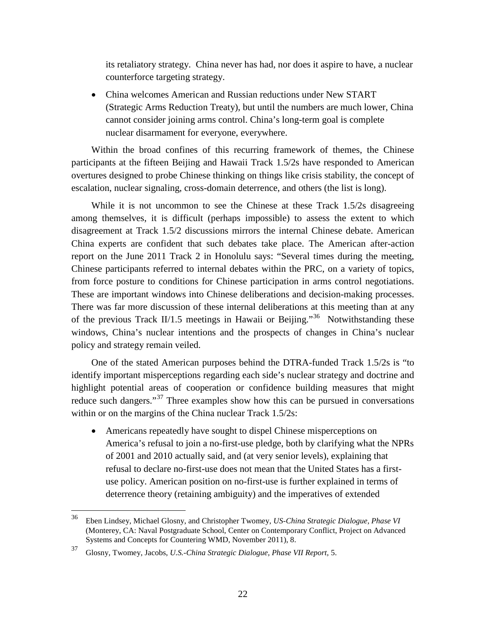its retaliatory strategy. China never has had, nor does it aspire to have, a nuclear counterforce targeting strategy.

• China welcomes American and Russian reductions under New START (Strategic Arms Reduction Treaty), but until the numbers are much lower, China cannot consider joining arms control. China's long-term goal is complete nuclear disarmament for everyone, everywhere.

Within the broad confines of this recurring framework of themes, the Chinese participants at the fifteen Beijing and Hawaii Track 1.5/2s have responded to American overtures designed to probe Chinese thinking on things like crisis stability, the concept of escalation, nuclear signaling, cross-domain deterrence, and others (the list is long).

While it is not uncommon to see the Chinese at these Track 1.5/2s disagreeing among themselves, it is difficult (perhaps impossible) to assess the extent to which disagreement at Track 1.5/2 discussions mirrors the internal Chinese debate. American China experts are confident that such debates take place. The American after-action report on the June 2011 Track 2 in Honolulu says: "Several times during the meeting, Chinese participants referred to internal debates within the PRC, on a variety of topics, from force posture to conditions for Chinese participation in arms control negotiations. These are important windows into Chinese deliberations and decision-making processes. There was far more discussion of these internal deliberations at this meeting than at any of the previous Track II/1.5 meetings in Hawaii or Beijing."[36](#page-29-0) Notwithstanding these windows, China's nuclear intentions and the prospects of changes in China's nuclear policy and strategy remain veiled.

One of the stated American purposes behind the DTRA-funded Track 1.5/2s is "to identify important misperceptions regarding each side's nuclear strategy and doctrine and highlight potential areas of cooperation or confidence building measures that might reduce such dangers."<sup>[37](#page-29-1)</sup> Three examples show how this can be pursued in conversations within or on the margins of the China nuclear Track 1.5/2s:

• Americans repeatedly have sought to dispel Chinese misperceptions on America's refusal to join a no-first-use pledge, both by clarifying what the NPRs of 2001 and 2010 actually said, and (at very senior levels), explaining that refusal to declare no-first-use does not mean that the United States has a firstuse policy. American position on no-first-use is further explained in terms of deterrence theory (retaining ambiguity) and the imperatives of extended

<span id="page-29-0"></span> <sup>36</sup> Eben Lindsey, Michael Glosny, and Christopher Twomey, *US-China Strategic Dialogue, Phase VI*  (Monterey, CA: Naval Postgraduate School, Center on Contemporary Conflict, Project on Advanced Systems and Concepts for Countering WMD, November 2011), 8.

<span id="page-29-1"></span><sup>37</sup> Glosny, Twomey, Jacobs, *U.S.-China Strategic Dialogue, Phase VII Report,* 5.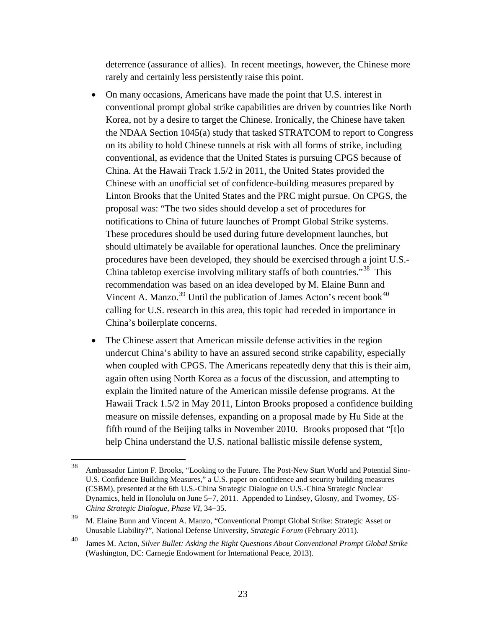deterrence (assurance of allies). In recent meetings, however, the Chinese more rarely and certainly less persistently raise this point.

- On many occasions, Americans have made the point that U.S. interest in conventional prompt global strike capabilities are driven by countries like North Korea, not by a desire to target the Chinese. Ironically, the Chinese have taken the NDAA Section 1045(a) study that tasked STRATCOM to report to Congress on its ability to hold Chinese tunnels at risk with all forms of strike, including conventional, as evidence that the United States is pursuing CPGS because of China. At the Hawaii Track 1.5/2 in 2011, the United States provided the Chinese with an unofficial set of confidence-building measures prepared by Linton Brooks that the United States and the PRC might pursue. On CPGS, the proposal was: "The two sides should develop a set of procedures for notifications to China of future launches of Prompt Global Strike systems. These procedures should be used during future development launches, but should ultimately be available for operational launches. Once the preliminary procedures have been developed, they should be exercised through a joint U.S.- China tabletop exercise involving military staffs of both countries."[38](#page-30-0) This recommendation was based on an idea developed by M. Elaine Bunn and Vincent A. Manzo.<sup>[39](#page-30-1)</sup> Until the publication of James Acton's recent book<sup>[40](#page-30-2)</sup> calling for U.S. research in this area, this topic had receded in importance in China's boilerplate concerns.
- The Chinese assert that American missile defense activities in the region undercut China's ability to have an assured second strike capability, especially when coupled with CPGS. The Americans repeatedly deny that this is their aim, again often using North Korea as a focus of the discussion, and attempting to explain the limited nature of the American missile defense programs. At the Hawaii Track 1.5/2 in May 2011, Linton Brooks proposed a confidence building measure on missile defenses, expanding on a proposal made by Hu Side at the fifth round of the Beijing talks in November 2010. Brooks proposed that "[t]o help China understand the U.S. national ballistic missile defense system,

<span id="page-30-0"></span> <sup>38</sup> Ambassador Linton F. Brooks, "Looking to the Future. The Post-New Start World and Potential Sino-U.S. Confidence Building Measures," a U.S. paper on confidence and security building measures (CSBM), presented at the 6th U.S.-China Strategic Dialogue on U.S.-China Strategic Nuclear Dynamics, held in Honolulu on June 5−7, 2011. Appended to Lindsey, Glosny, and Twomey, *US-China Strategic Dialogue, Phase VI*, 34−35.

<span id="page-30-1"></span><sup>&</sup>lt;sup>39</sup> M. Elaine Bunn and Vincent A. Manzo, "Conventional Prompt Global Strike: Strategic Asset or Unusable Liability?", National Defense University, *Strategic Forum* (February 2011).

<span id="page-30-2"></span><sup>40</sup> James M. Acton, *Silver Bullet: Asking the Right Questions About Conventional Prompt Global Strike*  (Washington, DC: Carnegie Endowment for International Peace, 2013).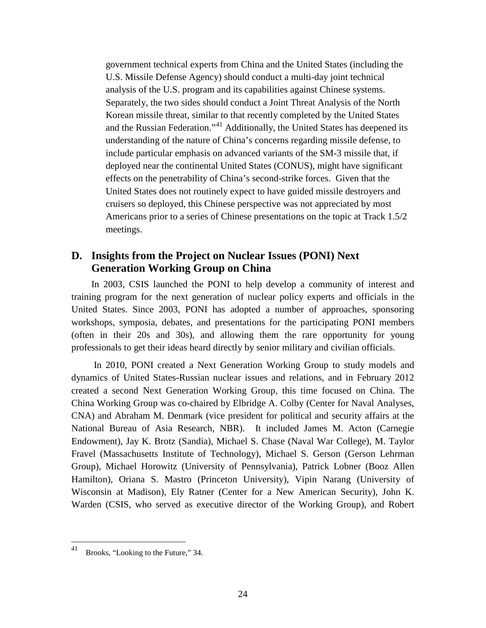government technical experts from China and the United States (including the U.S. Missile Defense Agency) should conduct a multi-day joint technical analysis of the U.S. program and its capabilities against Chinese systems. Separately, the two sides should conduct a Joint Threat Analysis of the North Korean missile threat, similar to that recently completed by the United States and the Russian Federation."<sup>[41](#page-31-1)</sup> Additionally, the United States has deepened its understanding of the nature of China's concerns regarding missile defense, to include particular emphasis on advanced variants of the SM-3 missile that, if deployed near the continental United States (CONUS), might have significant effects on the penetrability of China's second-strike forces. Given that the United States does not routinely expect to have guided missile destroyers and cruisers so deployed, this Chinese perspective was not appreciated by most Americans prior to a series of Chinese presentations on the topic at Track 1.5/2 meetings.

#### <span id="page-31-0"></span>**D. Insights from the Project on Nuclear Issues (PONI) Next Generation Working Group on China**

In 2003, CSIS launched the PONI to help develop a community of interest and training program for the next generation of nuclear policy experts and officials in the United States. Since 2003, PONI has adopted a number of approaches, sponsoring workshops, symposia, debates, and presentations for the participating PONI members (often in their 20s and 30s), and allowing them the rare opportunity for young professionals to get their ideas heard directly by senior military and civilian officials.

In 2010, PONI created a Next Generation Working Group to study models and dynamics of United States-Russian nuclear issues and relations, and in February 2012 created a second Next Generation Working Group, this time focused on China. The China Working Group was co-chaired by Elbridge A. Colby (Center for Naval Analyses, CNA) and Abraham M. Denmark (vice president for political and security affairs at the National Bureau of Asia Research, NBR). It included James M. Acton (Carnegie Endowment), Jay K. Brotz (Sandia), Michael S. Chase (Naval War College), M. Taylor Fravel (Massachusetts Institute of Technology), Michael S. Gerson (Gerson Lehrman Group), Michael Horowitz (University of Pennsylvania), Patrick Lobner (Booz Allen Hamilton), Oriana S. Mastro (Princeton University), Vipin Narang (University of Wisconsin at Madison), Ely Ratner (Center for a New American Security), John K. Warden (CSIS, who served as executive director of the Working Group), and Robert

<span id="page-31-1"></span> <sup>41</sup> Brooks, "Looking to the Future," 34.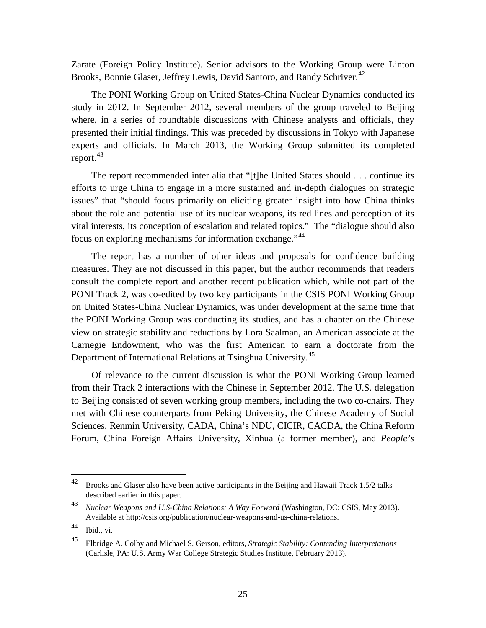Zarate (Foreign Policy Institute). Senior advisors to the Working Group were Linton Brooks, Bonnie Glaser, Jeffrey Lewis, David Santoro, and Randy Schriver.<sup>42</sup>

The PONI Working Group on United States-China Nuclear Dynamics conducted its study in 2012. In September 2012, several members of the group traveled to Beijing where, in a series of roundtable discussions with Chinese analysts and officials, they presented their initial findings. This was preceded by discussions in Tokyo with Japanese experts and officials. In March 2013, the Working Group submitted its completed report.<sup>[43](#page-32-1)</sup>

The report recommended inter alia that "[t]he United States should . . . continue its efforts to urge China to engage in a more sustained and in-depth dialogues on strategic issues" that "should focus primarily on eliciting greater insight into how China thinks about the role and potential use of its nuclear weapons, its red lines and perception of its vital interests, its conception of escalation and related topics." The "dialogue should also focus on exploring mechanisms for information exchange."[44](#page-32-2)

The report has a number of other ideas and proposals for confidence building measures. They are not discussed in this paper, but the author recommends that readers consult the complete report and another recent publication which, while not part of the PONI Track 2, was co-edited by two key participants in the CSIS PONI Working Group on United States-China Nuclear Dynamics, was under development at the same time that the PONI Working Group was conducting its studies, and has a chapter on the Chinese view on strategic stability and reductions by Lora Saalman, an American associate at the Carnegie Endowment, who was the first American to earn a doctorate from the Department of International Relations at Tsinghua University.<sup>[45](#page-32-3)</sup>

Of relevance to the current discussion is what the PONI Working Group learned from their Track 2 interactions with the Chinese in September 2012. The U.S. delegation to Beijing consisted of seven working group members, including the two co-chairs. They met with Chinese counterparts from Peking University, the Chinese Academy of Social Sciences, Renmin University, CADA, China's NDU, CICIR, CACDA, the China Reform Forum, China Foreign Affairs University, Xinhua (a former member), and *People's* 

<span id="page-32-0"></span><sup>&</sup>lt;sup>42</sup> Brooks and Glaser also have been active participants in the Beijing and Hawaii Track 1.5/2 talks described earlier in this paper.

<span id="page-32-1"></span><sup>43</sup> *Nuclear Weapons and U.S-China Relations: A Way Forward* (Washington, DC: CSIS, May 2013). Available at [http://csis.org/publication/nuclear-weapons-and-us-china-relations.](http://csis.org/publication/nuclear-weapons-and-us-china-relations)

<span id="page-32-2"></span> $44$  Ibid., vi.

<span id="page-32-3"></span><sup>45</sup> Elbridge A. Colby and Michael S. Gerson, editors, *Strategic Stability: Contending Interpretations*  (Carlisle, PA: U.S. Army War College Strategic Studies Institute, February 2013).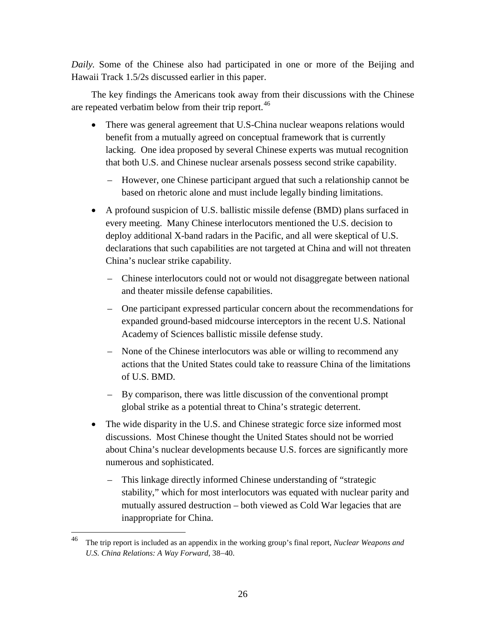*Daily.* Some of the Chinese also had participated in one or more of the Beijing and Hawaii Track 1.5/2s discussed earlier in this paper.

The key findings the Americans took away from their discussions with the Chinese are repeated verbatim below from their trip report.<sup>[46](#page-33-0)</sup>

- There was general agreement that U.S-China nuclear weapons relations would benefit from a mutually agreed on conceptual framework that is currently lacking. One idea proposed by several Chinese experts was mutual recognition that both U.S. and Chinese nuclear arsenals possess second strike capability.
	- However, one Chinese participant argued that such a relationship cannot be based on rhetoric alone and must include legally binding limitations.
- A profound suspicion of U.S. ballistic missile defense (BMD) plans surfaced in every meeting. Many Chinese interlocutors mentioned the U.S. decision to deploy additional X-band radars in the Pacific, and all were skeptical of U.S. declarations that such capabilities are not targeted at China and will not threaten China's nuclear strike capability.
	- Chinese interlocutors could not or would not disaggregate between national and theater missile defense capabilities.
	- One participant expressed particular concern about the recommendations for expanded ground-based midcourse interceptors in the recent U.S. National Academy of Sciences ballistic missile defense study.
	- None of the Chinese interlocutors was able or willing to recommend any actions that the United States could take to reassure China of the limitations of U.S. BMD.
	- By comparison, there was little discussion of the conventional prompt global strike as a potential threat to China's strategic deterrent.
- The wide disparity in the U.S. and Chinese strategic force size informed most discussions. Most Chinese thought the United States should not be worried about China's nuclear developments because U.S. forces are significantly more numerous and sophisticated.
	- This linkage directly informed Chinese understanding of "strategic stability," which for most interlocutors was equated with nuclear parity and mutually assured destruction – both viewed as Cold War legacies that are inappropriate for China.

<span id="page-33-0"></span> <sup>46</sup> The trip report is included as an appendix in the working group's final report, *Nuclear Weapons and U.S. China Relations: A Way Forward,* 38−40.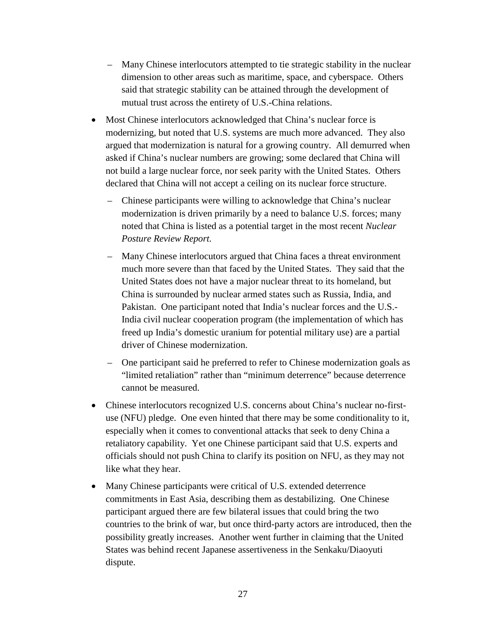- Many Chinese interlocutors attempted to tie strategic stability in the nuclear dimension to other areas such as maritime, space, and cyberspace. Others said that strategic stability can be attained through the development of mutual trust across the entirety of U.S.-China relations.
- Most Chinese interlocutors acknowledged that China's nuclear force is modernizing, but noted that U.S. systems are much more advanced. They also argued that modernization is natural for a growing country. All demurred when asked if China's nuclear numbers are growing; some declared that China will not build a large nuclear force, nor seek parity with the United States. Others declared that China will not accept a ceiling on its nuclear force structure.
	- Chinese participants were willing to acknowledge that China's nuclear modernization is driven primarily by a need to balance U.S. forces; many noted that China is listed as a potential target in the most recent *Nuclear Posture Review Report.*
	- Many Chinese interlocutors argued that China faces a threat environment much more severe than that faced by the United States. They said that the United States does not have a major nuclear threat to its homeland, but China is surrounded by nuclear armed states such as Russia, India, and Pakistan. One participant noted that India's nuclear forces and the U.S.- India civil nuclear cooperation program (the implementation of which has freed up India's domestic uranium for potential military use) are a partial driver of Chinese modernization.
	- One participant said he preferred to refer to Chinese modernization goals as "limited retaliation" rather than "minimum deterrence" because deterrence cannot be measured.
- Chinese interlocutors recognized U.S. concerns about China's nuclear no-firstuse (NFU) pledge. One even hinted that there may be some conditionality to it, especially when it comes to conventional attacks that seek to deny China a retaliatory capability. Yet one Chinese participant said that U.S. experts and officials should not push China to clarify its position on NFU, as they may not like what they hear.
- Many Chinese participants were critical of U.S. extended deterrence commitments in East Asia, describing them as destabilizing. One Chinese participant argued there are few bilateral issues that could bring the two countries to the brink of war, but once third-party actors are introduced, then the possibility greatly increases. Another went further in claiming that the United States was behind recent Japanese assertiveness in the Senkaku/Diaoyuti dispute.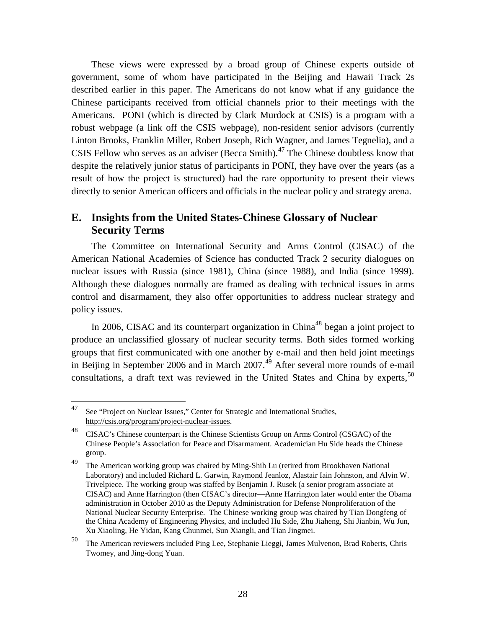These views were expressed by a broad group of Chinese experts outside of government, some of whom have participated in the Beijing and Hawaii Track 2s described earlier in this paper. The Americans do not know what if any guidance the Chinese participants received from official channels prior to their meetings with the Americans. PONI (which is directed by Clark Murdock at CSIS) is a program with a robust webpage (a link off the CSIS webpage), non-resident senior advisors (currently Linton Brooks, Franklin Miller, Robert Joseph, Rich Wagner, and James Tegnelia), and a CSIS Fellow who serves as an adviser (Becca Smith).<sup>[47](#page-35-1)</sup> The Chinese doubtless know that despite the relatively junior status of participants in PONI, they have over the years (as a result of how the project is structured) had the rare opportunity to present their views directly to senior American officers and officials in the nuclear policy and strategy arena.

#### <span id="page-35-0"></span>**E. Insights from the United States-Chinese Glossary of Nuclear Security Terms**

The Committee on International Security and Arms Control (CISAC) of the American National Academies of Science has conducted Track 2 security dialogues on nuclear issues with Russia (since 1981), China (since 1988), and India (since 1999). Although these dialogues normally are framed as dealing with technical issues in arms control and disarmament, they also offer opportunities to address nuclear strategy and policy issues.

In 2006, CISAC and its counterpart organization in China<sup>[48](#page-35-2)</sup> began a joint project to produce an unclassified glossary of nuclear security terms. Both sides formed working groups that first communicated with one another by e-mail and then held joint meetings in Beijing in September 2006 and in March  $2007<sup>49</sup>$  $2007<sup>49</sup>$  $2007<sup>49</sup>$  After several more rounds of e-mail consultations, a draft text was reviewed in the United States and China by experts,<sup>[50](#page-35-4)</sup>

<span id="page-35-1"></span><sup>&</sup>lt;sup>47</sup> See "Project on Nuclear Issues," Center for Strategic and International Studies, [http://csis.org/program/project-nuclear-issues.](http://csis.org/program/project-nuclear-issues)

<span id="page-35-2"></span><sup>&</sup>lt;sup>48</sup> CISAC's Chinese counterpart is the Chinese Scientists Group on Arms Control (CSGAC) of the Chinese People's Association for Peace and Disarmament. Academician Hu Side heads the Chinese group.

<span id="page-35-3"></span><sup>&</sup>lt;sup>49</sup> The American working group was chaired by Ming-Shih Lu (retired from Brookhaven National Laboratory) and included Richard L. Garwin, Raymond Jeanloz, Alastair Iain Johnston, and Alvin W. Trivelpiece. The working group was staffed by Benjamin J. Rusek (a senior program associate at CISAC) and Anne Harrington (then CISAC's director—Anne Harrington later would enter the Obama administration in October 2010 as the Deputy Administration for Defense Nonproliferation of the National Nuclear Security Enterprise. The Chinese working group was chaired by Tian Dongfeng of the China Academy of Engineering Physics, and included Hu Side, Zhu Jiaheng, Shi Jianbin, Wu Jun, Xu Xiaoling, He Yidan, Kang Chunmei, Sun Xiangli, and Tian Jingmei.

<span id="page-35-4"></span><sup>50</sup> The American reviewers included Ping Lee, Stephanie Lieggi, James Mulvenon, Brad Roberts, Chris Twomey, and Jing-dong Yuan.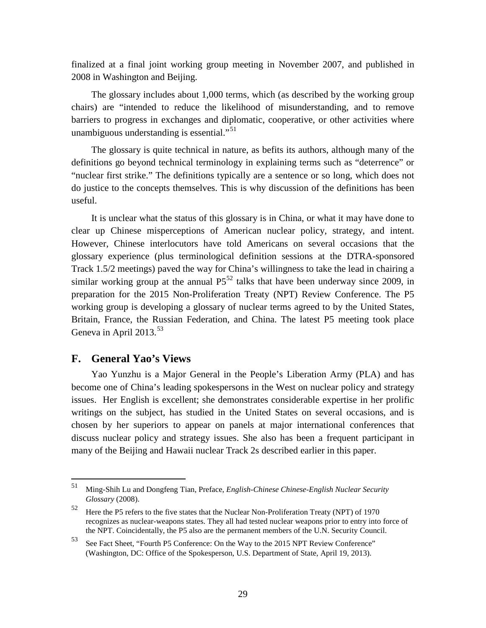finalized at a final joint working group meeting in November 2007, and published in 2008 in Washington and Beijing.

The glossary includes about 1,000 terms, which (as described by the working group chairs) are "intended to reduce the likelihood of misunderstanding, and to remove barriers to progress in exchanges and diplomatic, cooperative, or other activities where unambiguous understanding is essential."<sup>[51](#page-36-1)</sup>

The glossary is quite technical in nature, as befits its authors, although many of the definitions go beyond technical terminology in explaining terms such as "deterrence" or "nuclear first strike." The definitions typically are a sentence or so long, which does not do justice to the concepts themselves. This is why discussion of the definitions has been useful.

It is unclear what the status of this glossary is in China, or what it may have done to clear up Chinese misperceptions of American nuclear policy, strategy, and intent. However, Chinese interlocutors have told Americans on several occasions that the glossary experience (plus terminological definition sessions at the DTRA-sponsored Track 1.5/2 meetings) paved the way for China's willingness to take the lead in chairing a similar working group at the annual  $P5^{52}$  $P5^{52}$  $P5^{52}$  talks that have been underway since 2009, in preparation for the 2015 Non-Proliferation Treaty (NPT) Review Conference. The P5 working group is developing a glossary of nuclear terms agreed to by the United States, Britain, France, the Russian Federation, and China. The latest P5 meeting took place Geneva in April 2013. $53$ 

#### <span id="page-36-0"></span>**F. General Yao's Views**

Yao Yunzhu is a Major General in the People's Liberation Army (PLA) and has become one of China's leading spokespersons in the West on nuclear policy and strategy issues. Her English is excellent; she demonstrates considerable expertise in her prolific writings on the subject, has studied in the United States on several occasions, and is chosen by her superiors to appear on panels at major international conferences that discuss nuclear policy and strategy issues. She also has been a frequent participant in many of the Beijing and Hawaii nuclear Track 2s described earlier in this paper.

<span id="page-36-1"></span> <sup>51</sup> Ming-Shih Lu and Dongfeng Tian, Preface, *English-Chinese Chinese-English Nuclear Security Glossary* (2008).

<span id="page-36-2"></span> $52$  Here the P5 refers to the five states that the Nuclear Non-Proliferation Treaty (NPT) of 1970 recognizes as nuclear-weapons states. They all had tested nuclear weapons prior to entry into force of the NPT. Coincidentally, the P5 also are the permanent members of the U.N. Security Council.

<span id="page-36-3"></span><sup>53</sup> See Fact Sheet, "Fourth P5 Conference: On the Way to the 2015 NPT Review Conference" (Washington, DC: Office of the Spokesperson, U.S. Department of State, April 19, 2013).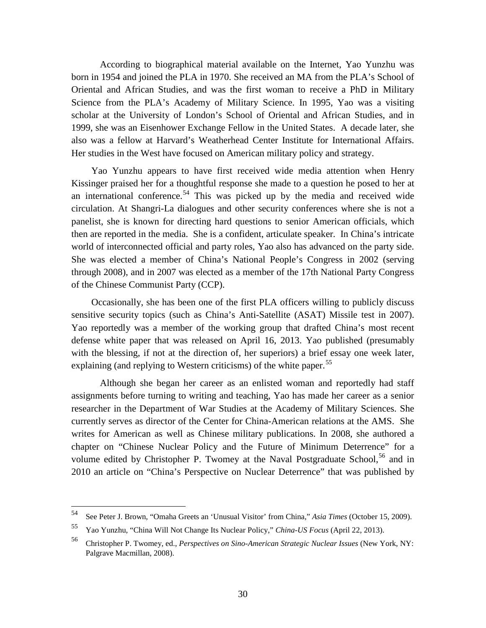According to biographical material available on the Internet, Yao Yunzhu was born in 1954 and joined the PLA in 1970. She received an MA from the PLA's School of Oriental and African Studies, and was the first woman to receive a PhD in Military Science from the PLA's Academy of Military Science. In 1995, Yao was a visiting scholar at the University of London's School of Oriental and African Studies, and in 1999, she was an Eisenhower Exchange Fellow in the United States. A decade later, she also was a fellow at Harvard's Weatherhead Center Institute for International Affairs. Her studies in the West have focused on American military policy and strategy.

Yao Yunzhu appears to have first received wide media attention when Henry Kissinger praised her for a thoughtful response she made to a question he posed to her at an international conference.<sup>[54](#page-37-0)</sup> This was picked up by the media and received wide circulation. At Shangri-La dialogues and other security conferences where she is not a panelist, she is known for directing hard questions to senior American officials, which then are reported in the media. She is a confident, articulate speaker. In China's intricate world of interconnected official and party roles, Yao also has advanced on the party side. She was elected a member of China's National People's Congress in 2002 (serving through 2008), and in 2007 was elected as a member of the 17th National Party Congress of the Chinese Communist Party (CCP).

Occasionally, she has been one of the first PLA officers willing to publicly discuss sensitive security topics (such as China's Anti-Satellite (ASAT) Missile test in 2007). Yao reportedly was a member of the working group that drafted China's most recent defense white paper that was released on April 16, 2013. Yao published (presumably with the blessing, if not at the direction of, her superiors) a brief essay one week later, explaining (and replying to Western criticisms) of the white paper.<sup>[55](#page-37-1)</sup>

Although she began her career as an enlisted woman and reportedly had staff assignments before turning to writing and teaching, Yao has made her career as a senior researcher in the Department of War Studies at the Academy of Military Sciences. She currently serves as director of the Center for China-American relations at the AMS. She writes for American as well as Chinese military publications. In 2008, she authored a chapter on "Chinese Nuclear Policy and the Future of Minimum Deterrence" for a volume edited by Christopher P. Twomey at the Naval Postgraduate School,<sup>[56](#page-37-2)</sup> and in 2010 an article on "China's Perspective on Nuclear Deterrence" that was published by

<span id="page-37-0"></span> <sup>54</sup> See Peter J. Brown, "Omaha Greets an 'Unusual Visitor' from China," *Asia Times* (October 15, 2009).

<span id="page-37-1"></span><sup>55</sup> Yao Yunzhu, "China Will Not Change Its Nuclear Policy," *China-US Focus* (April 22, 2013).

<span id="page-37-2"></span><sup>56</sup> Christopher P. Twomey, ed., *Perspectives on Sino-American Strategic Nuclear Issues* (New York, NY: Palgrave Macmillan, 2008).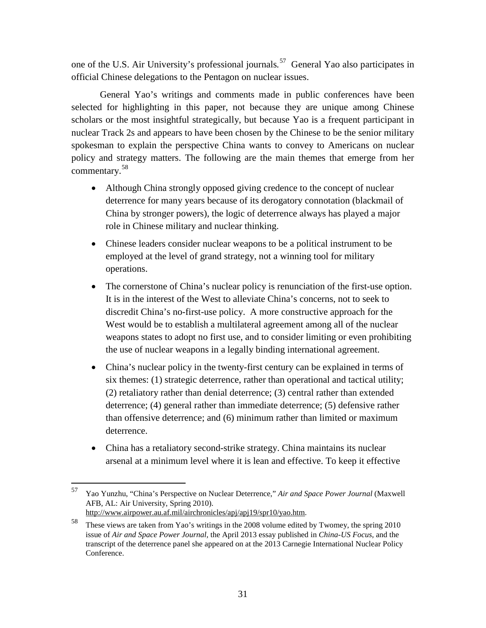one of the U.S. Air University's professional journals*.* [57](#page-38-0)General Yao also participates in official Chinese delegations to the Pentagon on nuclear issues.

General Yao's writings and comments made in public conferences have been selected for highlighting in this paper, not because they are unique among Chinese scholars or the most insightful strategically, but because Yao is a frequent participant in nuclear Track 2s and appears to have been chosen by the Chinese to be the senior military spokesman to explain the perspective China wants to convey to Americans on nuclear policy and strategy matters. The following are the main themes that emerge from her commentary.[58](#page-38-1)

- Although China strongly opposed giving credence to the concept of nuclear deterrence for many years because of its derogatory connotation (blackmail of China by stronger powers), the logic of deterrence always has played a major role in Chinese military and nuclear thinking.
- Chinese leaders consider nuclear weapons to be a political instrument to be employed at the level of grand strategy, not a winning tool for military operations.
- The cornerstone of China's nuclear policy is renunciation of the first-use option. It is in the interest of the West to alleviate China's concerns, not to seek to discredit China's no-first-use policy. A more constructive approach for the West would be to establish a multilateral agreement among all of the nuclear weapons states to adopt no first use, and to consider limiting or even prohibiting the use of nuclear weapons in a legally binding international agreement.
- China's nuclear policy in the twenty-first century can be explained in terms of six themes: (1) strategic deterrence, rather than operational and tactical utility; (2) retaliatory rather than denial deterrence; (3) central rather than extended deterrence; (4) general rather than immediate deterrence; (5) defensive rather than offensive deterrence; and (6) minimum rather than limited or maximum deterrence.
- China has a retaliatory second-strike strategy. China maintains its nuclear arsenal at a minimum level where it is lean and effective. To keep it effective

<span id="page-38-0"></span> <sup>57</sup> Yao Yunzhu, "China's Perspective on Nuclear Deterrence," *Air and Space Power Journal* (Maxwell AFB, AL: Air University, Spring 2010).

[http://www.airpower.au.af.mil/airchronicles/apj/apj19/spr10/yao.htm.](http://www.airpower.au.af.mil/airchronicles/apj/apj19/spr10/hyao.htm) 

<span id="page-38-1"></span><sup>58</sup> These views are taken from Yao's writings in the 2008 volume edited by Twomey, the spring 2010 issue of *Air and Space Power Journal,* the April 2013 essay published in *China-US Focus,* and the transcript of the deterrence panel she appeared on at the 2013 Carnegie International Nuclear Policy Conference.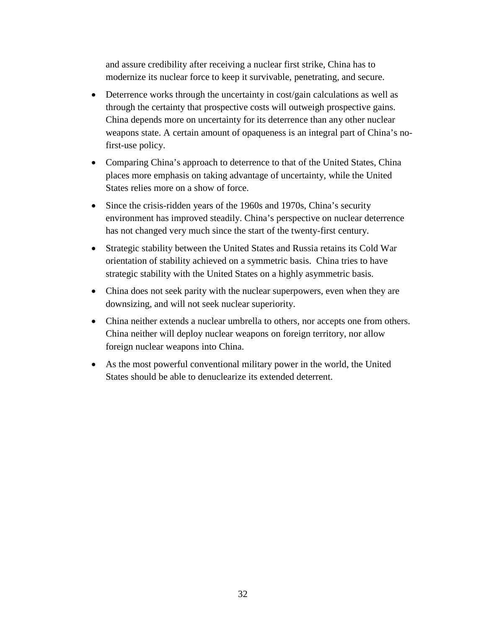and assure credibility after receiving a nuclear first strike, China has to modernize its nuclear force to keep it survivable, penetrating, and secure.

- Deterrence works through the uncertainty in cost/gain calculations as well as through the certainty that prospective costs will outweigh prospective gains. China depends more on uncertainty for its deterrence than any other nuclear weapons state. A certain amount of opaqueness is an integral part of China's nofirst-use policy.
- Comparing China's approach to deterrence to that of the United States, China places more emphasis on taking advantage of uncertainty, while the United States relies more on a show of force.
- Since the crisis-ridden years of the 1960s and 1970s, China's security environment has improved steadily. China's perspective on nuclear deterrence has not changed very much since the start of the twenty-first century.
- Strategic stability between the United States and Russia retains its Cold War orientation of stability achieved on a symmetric basis. China tries to have strategic stability with the United States on a highly asymmetric basis.
- China does not seek parity with the nuclear superpowers, even when they are downsizing, and will not seek nuclear superiority.
- China neither extends a nuclear umbrella to others, nor accepts one from others. China neither will deploy nuclear weapons on foreign territory, nor allow foreign nuclear weapons into China.
- As the most powerful conventional military power in the world, the United States should be able to denuclearize its extended deterrent.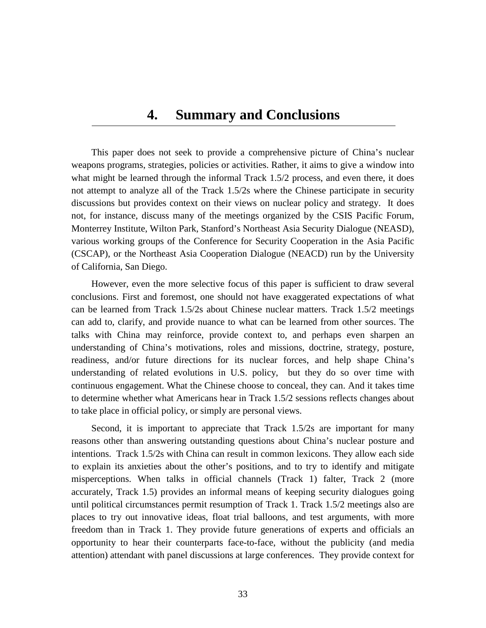### **4. Summary and Conclusions**

<span id="page-40-0"></span>This paper does not seek to provide a comprehensive picture of China's nuclear weapons programs, strategies, policies or activities. Rather, it aims to give a window into what might be learned through the informal Track 1.5/2 process, and even there, it does not attempt to analyze all of the Track 1.5/2s where the Chinese participate in security discussions but provides context on their views on nuclear policy and strategy. It does not, for instance, discuss many of the meetings organized by the CSIS Pacific Forum, Monterrey Institute, Wilton Park, Stanford's Northeast Asia Security Dialogue (NEASD), various working groups of the Conference for Security Cooperation in the Asia Pacific (CSCAP), or the Northeast Asia Cooperation Dialogue (NEACD) run by the University of California, San Diego.

However, even the more selective focus of this paper is sufficient to draw several conclusions. First and foremost, one should not have exaggerated expectations of what can be learned from Track 1.5/2s about Chinese nuclear matters. Track 1.5/2 meetings can add to, clarify, and provide nuance to what can be learned from other sources. The talks with China may reinforce, provide context to, and perhaps even sharpen an understanding of China's motivations, roles and missions, doctrine, strategy, posture, readiness, and/or future directions for its nuclear forces, and help shape China's understanding of related evolutions in U.S. policy, but they do so over time with continuous engagement. What the Chinese choose to conceal, they can. And it takes time to determine whether what Americans hear in Track 1.5/2 sessions reflects changes about to take place in official policy, or simply are personal views.

Second, it is important to appreciate that Track 1.5/2s are important for many reasons other than answering outstanding questions about China's nuclear posture and intentions. Track 1.5/2s with China can result in common lexicons. They allow each side to explain its anxieties about the other's positions, and to try to identify and mitigate misperceptions. When talks in official channels (Track 1) falter, Track 2 (more accurately, Track 1.5) provides an informal means of keeping security dialogues going until political circumstances permit resumption of Track 1. Track 1.5/2 meetings also are places to try out innovative ideas, float trial balloons, and test arguments, with more freedom than in Track 1. They provide future generations of experts and officials an opportunity to hear their counterparts face-to-face, without the publicity (and media attention) attendant with panel discussions at large conferences. They provide context for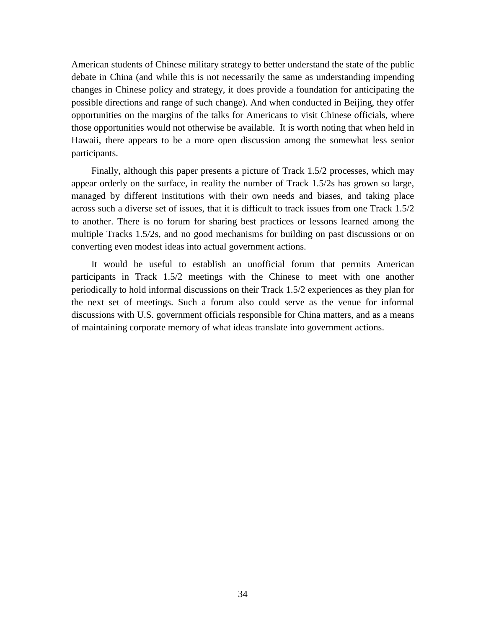American students of Chinese military strategy to better understand the state of the public debate in China (and while this is not necessarily the same as understanding impending changes in Chinese policy and strategy, it does provide a foundation for anticipating the possible directions and range of such change). And when conducted in Beijing, they offer opportunities on the margins of the talks for Americans to visit Chinese officials, where those opportunities would not otherwise be available. It is worth noting that when held in Hawaii, there appears to be a more open discussion among the somewhat less senior participants.

Finally, although this paper presents a picture of Track 1.5/2 processes, which may appear orderly on the surface, in reality the number of Track 1.5/2s has grown so large, managed by different institutions with their own needs and biases, and taking place across such a diverse set of issues, that it is difficult to track issues from one Track 1.5/2 to another. There is no forum for sharing best practices or lessons learned among the multiple Tracks 1.5/2s, and no good mechanisms for building on past discussions or on converting even modest ideas into actual government actions.

It would be useful to establish an unofficial forum that permits American participants in Track 1.5/2 meetings with the Chinese to meet with one another periodically to hold informal discussions on their Track 1.5/2 experiences as they plan for the next set of meetings. Such a forum also could serve as the venue for informal discussions with U.S. government officials responsible for China matters, and as a means of maintaining corporate memory of what ideas translate into government actions.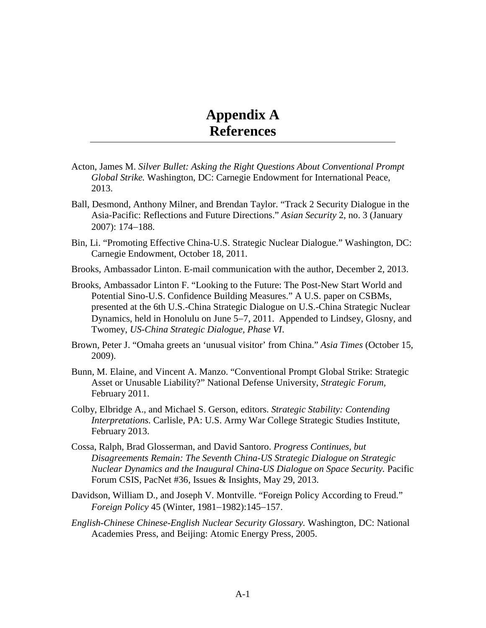# **Appendix A References**

- <span id="page-42-0"></span>Acton, James M. *Silver Bullet: Asking the Right Questions About Conventional Prompt Global Strike.* Washington, DC: Carnegie Endowment for International Peace, 2013.
- Ball, Desmond, Anthony Milner, and Brendan Taylor. "Track 2 Security Dialogue in the Asia-Pacific: Reflections and Future Directions." *Asian Security* 2, no. 3 (January 2007): 174−188.
- Bin, Li. "Promoting Effective China-U.S. Strategic Nuclear Dialogue." Washington, DC: Carnegie Endowment, October 18, 2011.
- Brooks, Ambassador Linton. E-mail communication with the author, December 2, 2013.
- Brooks, Ambassador Linton F. "Looking to the Future: The Post-New Start World and Potential Sino-U.S. Confidence Building Measures." A U.S. paper on CSBMs, presented at the 6th U.S.-China Strategic Dialogue on U.S.-China Strategic Nuclear Dynamics, held in Honolulu on June 5−7, 2011. Appended to Lindsey, Glosny, and Twomey, *US-China Strategic Dialogue, Phase VI*.
- Brown, Peter J. "Omaha greets an 'unusual visitor' from China." *Asia Times* (October 15, 2009).
- Bunn, M. Elaine, and Vincent A. Manzo. "Conventional Prompt Global Strike: Strategic Asset or Unusable Liability?" National Defense University, *Strategic Forum,*  February 2011.
- Colby, Elbridge A., and Michael S. Gerson, editors. *Strategic Stability: Contending Interpretations.* Carlisle, PA: U.S. Army War College Strategic Studies Institute, February 2013.
- Cossa, Ralph, Brad Glosserman, and David Santoro. *Progress Continues, but Disagreements Remain: The Seventh China-US Strategic Dialogue on Strategic Nuclear Dynamics and the Inaugural China-US Dialogue on Space Security.* Pacific Forum CSIS, PacNet #36, Issues & Insights, May 29, 2013.
- Davidson, William D., and Joseph V. Montville. "Foreign Policy According to Freud." *Foreign Policy* 45 (Winter, 1981−1982):145−157.
- *English-Chinese Chinese-English Nuclear Security Glossary.* Washington, DC: National Academies Press, and Beijing: Atomic Energy Press, 2005.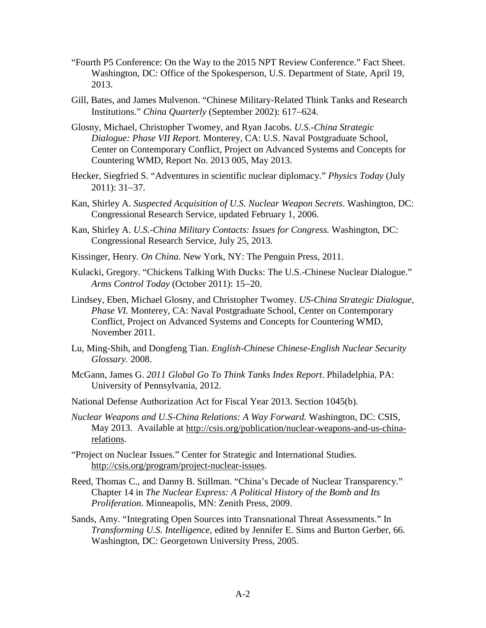- "Fourth P5 Conference: On the Way to the 2015 NPT Review Conference." Fact Sheet. Washington, DC: Office of the Spokesperson, U.S. Department of State, April 19, 2013.
- Gill, Bates, and James Mulvenon. "Chinese Military-Related Think Tanks and Research Institutions." *China Quarterly* (September 2002): 617−624.
- Glosny, Michael, Christopher Twomey, and Ryan Jacobs. *U.S.-China Strategic Dialogue: Phase VII Report.* Monterey, CA: U.S. Naval Postgraduate School, Center on Contemporary Conflict, Project on Advanced Systems and Concepts for Countering WMD, Report No. 2013 005, May 2013.
- Hecker, Siegfried S. "Adventures in scientific nuclear diplomacy." *Physics Today* (July 2011): 31−37.
- Kan, Shirley A. *Suspected Acquisition of U.S. Nuclear Weapon Secrets*. Washington, DC: Congressional Research Service, updated February 1, 2006.
- Kan, Shirley A. *U.S.-China Military Contacts: Issues for Congress.* Washington, DC: Congressional Research Service, July 25, 2013.
- Kissinger, Henry. *On China.* New York, NY: The Penguin Press, 2011.
- Kulacki, Gregory. "Chickens Talking With Ducks: The U.S.-Chinese Nuclear Dialogue." *Arms Control Today* (October 2011): 15−20.
- Lindsey, Eben, Michael Glosny, and Christopher Twomey. *US-China Strategic Dialogue, Phase VI.* Monterey, CA: Naval Postgraduate School, Center on Contemporary Conflict, Project on Advanced Systems and Concepts for Countering WMD, November 2011.
- Lu, Ming-Shih, and Dongfeng Tian. *English-Chinese Chinese-English Nuclear Security Glossary.* 2008.
- McGann, James G. *2011 Global Go To Think Tanks Index Report*. Philadelphia, PA: University of Pennsylvania, 2012.
- National Defense Authorization Act for Fiscal Year 2013. Section 1045(b).
- *Nuclear Weapons and U.S-China Relations: A Way Forward.* Washington, DC: CSIS, May 2013. Available at [http://csis.org/publication/nuclear-weapons-and-us-china](http://csis.org/publication/nuclear-weapons-and-us-china-relations)[relations.](http://csis.org/publication/nuclear-weapons-and-us-china-relations)
- "Project on Nuclear Issues." Center for Strategic and International Studies. [http://csis.org/program/project-nuclear-issues.](http://csis.org/program/project-nuclear-issues)
- Reed, Thomas C., and Danny B. Stillman. "China's Decade of Nuclear Transparency." Chapter 14 in *The Nuclear Express: A Political History of the Bomb and Its Proliferation*. Minneapolis, MN: Zenith Press, 2009.
- Sands, Amy. "Integrating Open Sources into Transnational Threat Assessments." In *Transforming U.S. Intelligence,* edited by Jennifer E. Sims and Burton Gerber, 66*.* Washington, DC: Georgetown University Press, 2005.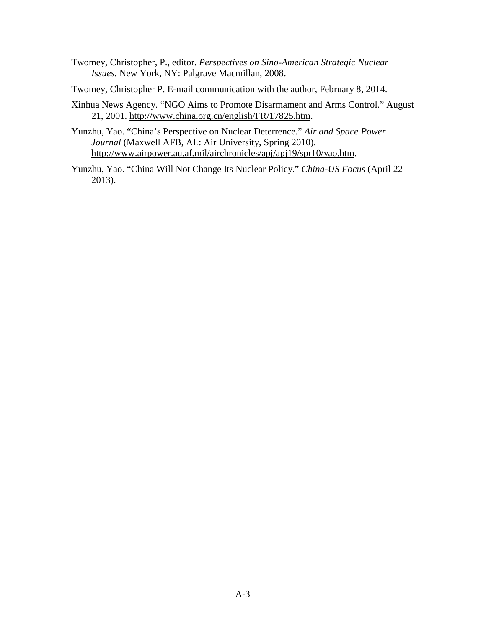- Twomey, Christopher, P., editor. *Perspectives on Sino-American Strategic Nuclear Issues.* New York, NY: Palgrave Macmillan, 2008.
- Twomey, Christopher P. E-mail communication with the author, February 8, 2014.
- Xinhua News Agency. "NGO Aims to Promote Disarmament and Arms Control." August 21, 2001. [http://www.china.org.cn/english/FR/17825.htm.](http://www.china.org.cn/english/FR/17825.htm)
- Yunzhu, Yao. "China's Perspective on Nuclear Deterrence." *Air and Space Power Journal* (Maxwell AFB, AL: Air University, Spring 2010). [http://www.airpower.au.af.mil/airchronicles/apj/apj19/spr10/yao.htm.](http://www.airpower.au.af.mil/airchronicles/apj/apj19/spr10/hyao.htm)
- Yunzhu, Yao. "China Will Not Change Its Nuclear Policy." *China-US Focus* (April 22 2013).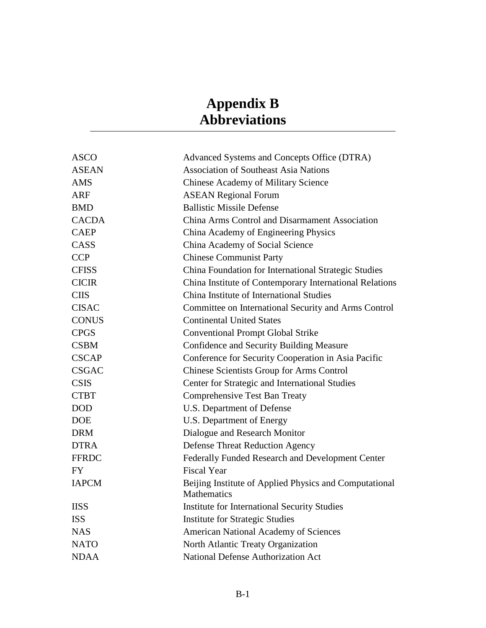# **Appendix B Abbreviations**

<span id="page-46-0"></span>

| <b>ASCO</b>  | Advanced Systems and Concepts Office (DTRA)                                  |  |  |  |
|--------------|------------------------------------------------------------------------------|--|--|--|
| <b>ASEAN</b> | <b>Association of Southeast Asia Nations</b>                                 |  |  |  |
| <b>AMS</b>   | <b>Chinese Academy of Military Science</b>                                   |  |  |  |
| <b>ARF</b>   | <b>ASEAN Regional Forum</b>                                                  |  |  |  |
| <b>BMD</b>   | <b>Ballistic Missile Defense</b>                                             |  |  |  |
| <b>CACDA</b> | China Arms Control and Disarmament Association                               |  |  |  |
| <b>CAEP</b>  | China Academy of Engineering Physics                                         |  |  |  |
| CASS         | China Academy of Social Science                                              |  |  |  |
| <b>CCP</b>   | <b>Chinese Communist Party</b>                                               |  |  |  |
| <b>CFISS</b> | China Foundation for International Strategic Studies                         |  |  |  |
| <b>CICIR</b> | China Institute of Contemporary International Relations                      |  |  |  |
| <b>CIIS</b>  | China Institute of International Studies                                     |  |  |  |
| <b>CISAC</b> | Committee on International Security and Arms Control                         |  |  |  |
| <b>CONUS</b> | <b>Continental United States</b>                                             |  |  |  |
| <b>CPGS</b>  | <b>Conventional Prompt Global Strike</b>                                     |  |  |  |
| <b>CSBM</b>  | Confidence and Security Building Measure                                     |  |  |  |
| <b>CSCAP</b> | Conference for Security Cooperation in Asia Pacific                          |  |  |  |
| <b>CSGAC</b> | Chinese Scientists Group for Arms Control                                    |  |  |  |
| <b>CSIS</b>  | Center for Strategic and International Studies                               |  |  |  |
| <b>CTBT</b>  | Comprehensive Test Ban Treaty                                                |  |  |  |
| <b>DOD</b>   | U.S. Department of Defense                                                   |  |  |  |
| <b>DOE</b>   | U.S. Department of Energy                                                    |  |  |  |
| <b>DRM</b>   | Dialogue and Research Monitor                                                |  |  |  |
| <b>DTRA</b>  | <b>Defense Threat Reduction Agency</b>                                       |  |  |  |
| <b>FFRDC</b> | Federally Funded Research and Development Center                             |  |  |  |
| <b>FY</b>    | <b>Fiscal Year</b>                                                           |  |  |  |
| <b>IAPCM</b> | Beijing Institute of Applied Physics and Computational<br><b>Mathematics</b> |  |  |  |
| <b>IISS</b>  | <b>Institute for International Security Studies</b>                          |  |  |  |
| <b>ISS</b>   | <b>Institute for Strategic Studies</b>                                       |  |  |  |
| <b>NAS</b>   | <b>American National Academy of Sciences</b>                                 |  |  |  |
| <b>NATO</b>  | North Atlantic Treaty Organization                                           |  |  |  |
| <b>NDAA</b>  | <b>National Defense Authorization Act</b>                                    |  |  |  |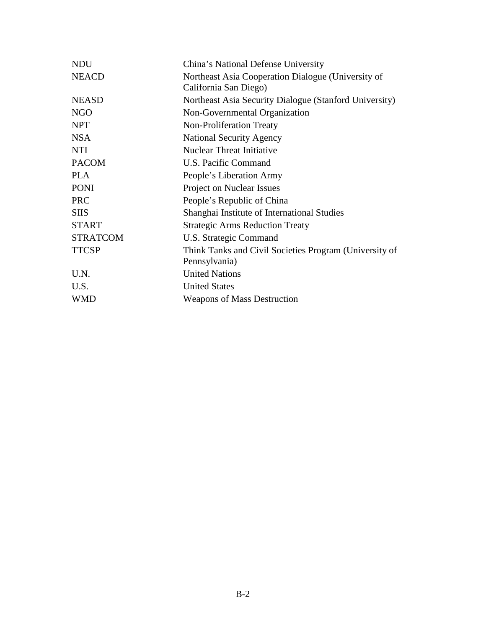| <b>NDU</b>      | China's National Defense University                                         |  |  |  |  |
|-----------------|-----------------------------------------------------------------------------|--|--|--|--|
| <b>NEACD</b>    | Northeast Asia Cooperation Dialogue (University of<br>California San Diego) |  |  |  |  |
| <b>NEASD</b>    | Northeast Asia Security Dialogue (Stanford University)                      |  |  |  |  |
| <b>NGO</b>      | Non-Governmental Organization                                               |  |  |  |  |
| <b>NPT</b>      | Non-Proliferation Treaty                                                    |  |  |  |  |
| <b>NSA</b>      | <b>National Security Agency</b>                                             |  |  |  |  |
| <b>NTI</b>      | <b>Nuclear Threat Initiative</b>                                            |  |  |  |  |
| <b>PACOM</b>    | U.S. Pacific Command                                                        |  |  |  |  |
| <b>PLA</b>      | People's Liberation Army                                                    |  |  |  |  |
| <b>PONI</b>     | Project on Nuclear Issues                                                   |  |  |  |  |
| <b>PRC</b>      | People's Republic of China                                                  |  |  |  |  |
| <b>SIIS</b>     | Shanghai Institute of International Studies                                 |  |  |  |  |
| <b>START</b>    | <b>Strategic Arms Reduction Treaty</b>                                      |  |  |  |  |
| <b>STRATCOM</b> | U.S. Strategic Command                                                      |  |  |  |  |
| <b>TTCSP</b>    | Think Tanks and Civil Societies Program (University of                      |  |  |  |  |
|                 | Pennsylvania)                                                               |  |  |  |  |
| U.N.            | <b>United Nations</b>                                                       |  |  |  |  |
| U.S.            | <b>United States</b>                                                        |  |  |  |  |
| <b>WMD</b>      | <b>Weapons of Mass Destruction</b>                                          |  |  |  |  |